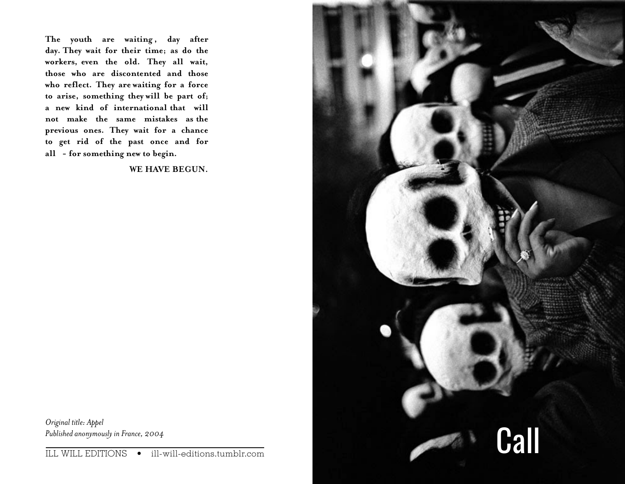The youth are waiting, day after **day. They wait for their time; as do the workers, even the old. They all wait, those who are discontented and those who reflect. They are waiting for a force to arise, something they will be part of; a new kind of international that will not make the same mistakes as the previous ones. They wait for a chance to get rid of the past once and for all - for something new to begin.** 

**WE HAVE BEGUN.** 



*Original title: Appel Published anonymously in France, 2004*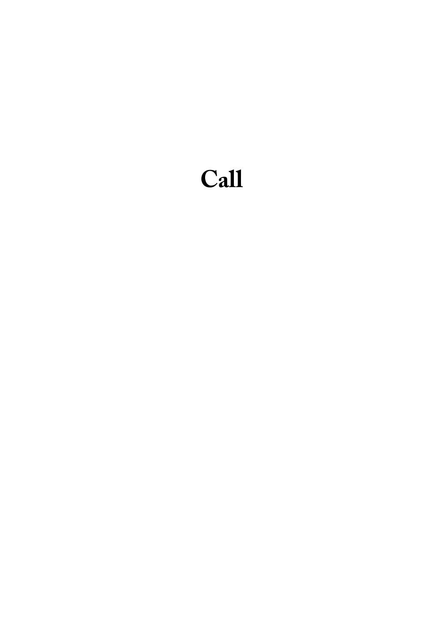# **Call**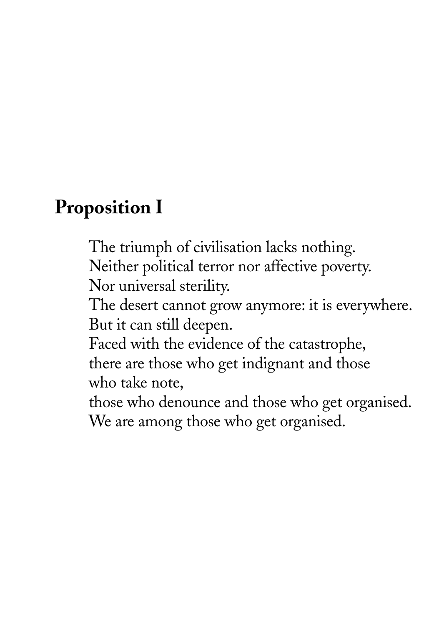#### **Proposition I**

The triumph of civilisation lacks nothing. Neither political terror nor affective poverty. Nor universal sterility.

The desert cannot grow anymore: it is everywhere. But it can still deepen.

Faced with the evidence of the catastrophe, there are those who get indignant and those who take note,

those who denounce and those who get organised. We are among those who get organised.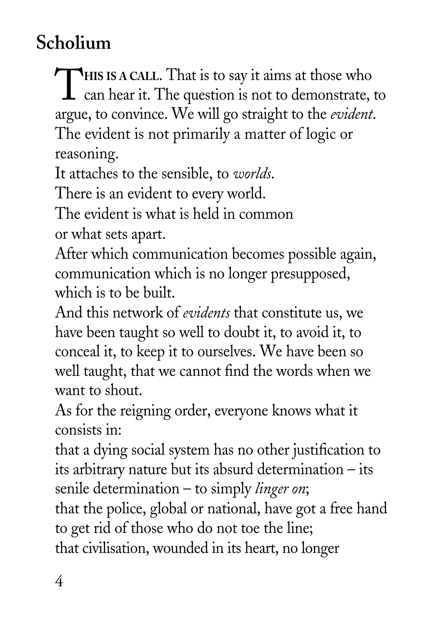## **Scholium**

THIS IS A CALL. That is to say it aims at those who can hear it. The question is not to demonstrate, to argue, to convince. We will go straight to the *evident*. The evident is not primarily a matter of logic or reasoning.

It attaches to the sensible, to *worlds*.

There is an evident to every world.

The evident is what is held in common or what sets apart.

After which communication becomes possible again, communication which is no longer presupposed, which is to be built.

And this network of *evidents* that constitute us, we have been taught so well to doubt it, to avoid it, to conceal it, to keep it to ourselves. We have been so well taught, that we cannot find the words when we want to shout.

As for the reigning order, everyone knows what it consists in:

that a dying social system has no other justification to its arbitrary nature but its absurd determination – its senile determination – to simply *linger on*;

that the police, global or national, have got a free hand to get rid of those who do not toe the line; that civilisation, wounded in its heart, no longer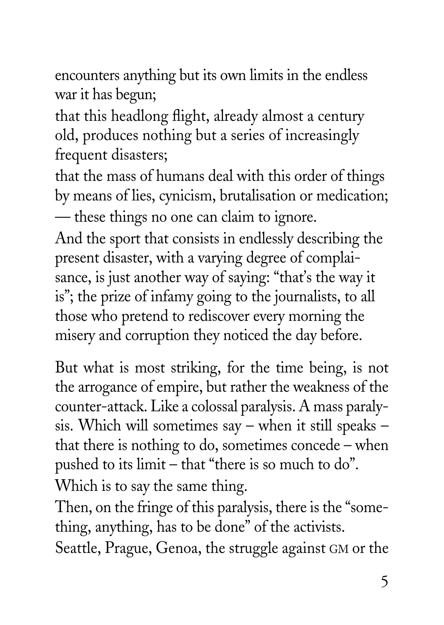encounters anything but its own limits in the endless war it has begun;

that this headlong flight, already almost a century old, produces nothing but a series of increasingly frequent disasters;

that the mass of humans deal with this order of things by means of lies, cynicism, brutalisation or medication; — these things no one can claim to ignore.

And the sport that consists in endlessly describing the present disaster, with a varying degree of complaisance, is just another way of saying: "that's the way it is"; the prize of infamy going to the journalists, to all those who pretend to rediscover every morning the misery and corruption they noticed the day before.

But what is most striking, for the time being, is not the arrogance of empire, but rather the weakness of the counter-attack. Like a colossal paralysis. A mass paralysis. Which will sometimes say – when it still speaks – that there is nothing to do, sometimes concede – when pushed to its limit – that "there is so much to do". Which is to say the same thing.

Then, on the fringe of this paralysis, there is the "something, anything, has to be done" of the activists.

Seattle, Prague, Genoa, the struggle against GM or the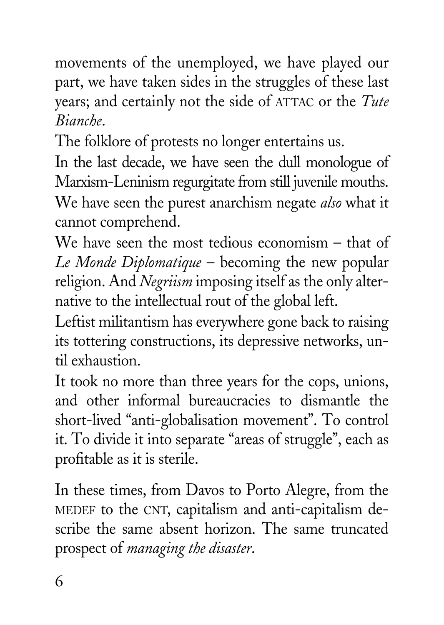movements of the unemployed, we have played our part, we have taken sides in the struggles of these last years; and certainly not the side of ATTAC or the *Tute Bianche*.

The folklore of protests no longer entertains us.

In the last decade, we have seen the dull monologue of Marxism-Leninism regurgitate from still juvenile mouths.

We have seen the purest anarchism negate *also* what it cannot comprehend.

We have seen the most tedious economism – that of *Le Monde Diplomatique* – becoming the new popular religion. And *Negriism* imposing itself as the only alternative to the intellectual rout of the global left.

Leftist militantism has everywhere gone back to raising its tottering constructions, its depressive networks, until exhaustion.

It took no more than three years for the cops, unions, and other informal bureaucracies to dismantle the short-lived "anti-globalisation movement". To control it. To divide it into separate "areas of struggle", each as profitable as it is sterile.

In these times, from Davos to Porto Alegre, from the MEDEF to the CNT, capitalism and anti-capitalism describe the same absent horizon. The same truncated prospect of *managing the disaster*.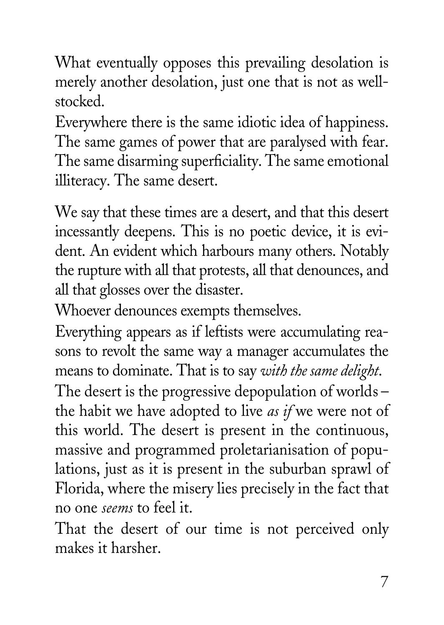What eventually opposes this prevailing desolation is merely another desolation, just one that is not as wellstocked.

Everywhere there is the same idiotic idea of happiness. The same games of power that are paralysed with fear. The same disarming superficiality. The same emotional illiteracy. The same desert.

We say that these times are a desert, and that this desert incessantly deepens. This is no poetic device, it is evident. An evident which harbours many others. Notably the rupture with all that protests, all that denounces, and all that glosses over the disaster.

Whoever denounces exempts themselves.

Everything appears as if leftists were accumulating reasons to revolt the same way a manager accumulates the means to dominate. That is to say *with the same delight*. The desert is the progressive depopulation of worlds – the habit we have adopted to live *as if* we were not of this world. The desert is present in the continuous, massive and programmed proletarianisation of populations, just as it is present in the suburban sprawl of Florida, where the misery lies precisely in the fact that no one *seems* to feel it.

That the desert of our time is not perceived only makes it harsher.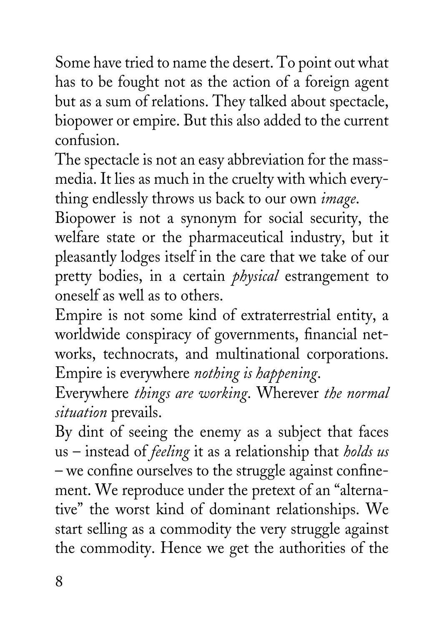Some have tried to name the desert. To point out what has to be fought not as the action of a foreign agent but as a sum of relations. They talked about spectacle, biopower or empire. But this also added to the current confusion.

The spectacle is not an easy abbreviation for the massmedia. It lies as much in the cruelty with which everything endlessly throws us back to our own *image*.

Biopower is not a synonym for social security, the welfare state or the pharmaceutical industry, but it pleasantly lodges itself in the care that we take of our pretty bodies, in a certain *physical* estrangement to oneself as well as to others.

Empire is not some kind of extraterrestrial entity, a worldwide conspiracy of governments, financial networks, technocrats, and multinational corporations. Empire is everywhere *nothing is happening*.

Everywhere *things are working*. Wherever *the normal situation* prevails.

By dint of seeing the enemy as a subject that faces us – instead of *feeling* it as a relationship that *holds us* – we confine ourselves to the struggle against confinement. We reproduce under the pretext of an "alternative" the worst kind of dominant relationships. We start selling as a commodity the very struggle against the commodity. Hence we get the authorities of the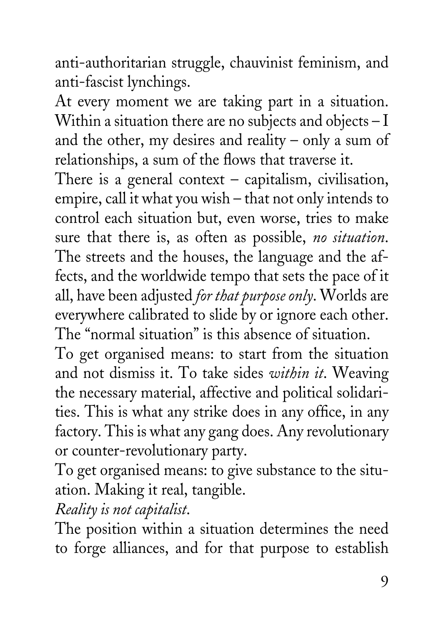anti-authoritarian struggle, chauvinist feminism, and anti-fascist lynchings.

At every moment we are taking part in a situation. Within a situation there are no subjects and objects – I and the other, my desires and reality – only a sum of relationships, a sum of the flows that traverse it.

There is a general context – capitalism, civilisation, empire, call it what you wish – that not only intends to control each situation but, even worse, tries to make sure that there is, as often as possible, *no situation*. The streets and the houses, the language and the affects, and the worldwide tempo that sets the pace of it all, have been adjusted *for that purpose only*. Worlds are everywhere calibrated to slide by or ignore each other. The "normal situation" is this absence of situation.

To get organised means: to start from the situation and not dismiss it. To take sides *within it*. Weaving the necessary material, affective and political solidarities. This is what any strike does in any office, in any factory. This is what any gang does. Any revolutionary or counter-revolutionary party.

To get organised means: to give substance to the situation. Making it real, tangible.

*Reality is not capitalist*.

The position within a situation determines the need to forge alliances, and for that purpose to establish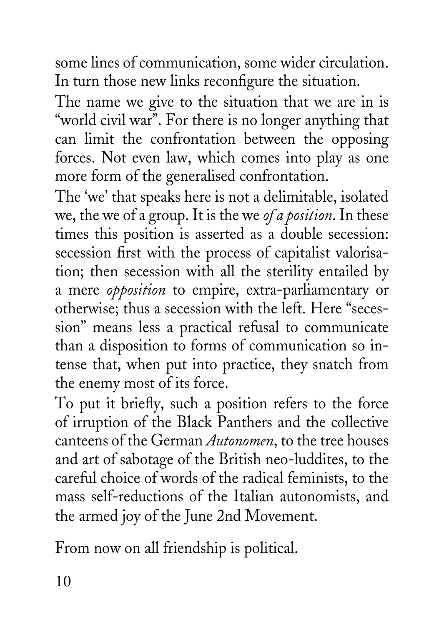some lines of communication, some wider circulation. In turn those new links reconfigure the situation.

The name we give to the situation that we are in is "world civil war". For there is no longer anything that can limit the confrontation between the opposing forces. Not even law, which comes into play as one more form of the generalised confrontation.

The 'we' that speaks here is not a delimitable, isolated we, the we of a group. It is the we *of a position*. In these times this position is asserted as a double secession: secession first with the process of capitalist valorisation; then secession with all the sterility entailed by a mere *opposition* to empire, extra-parliamentary or otherwise; thus a secession with the left. Here "secession" means less a practical refusal to communicate than a disposition to forms of communication so intense that, when put into practice, they snatch from the enemy most of its force.

To put it briefly, such a position refers to the force of irruption of the Black Panthers and the collective canteens of the German *Autonomen*, to the tree houses and art of sabotage of the British neo-luddites, to the careful choice of words of the radical feminists, to the mass self-reductions of the Italian autonomists, and the armed joy of the June 2nd Movement.

From now on all friendship is political.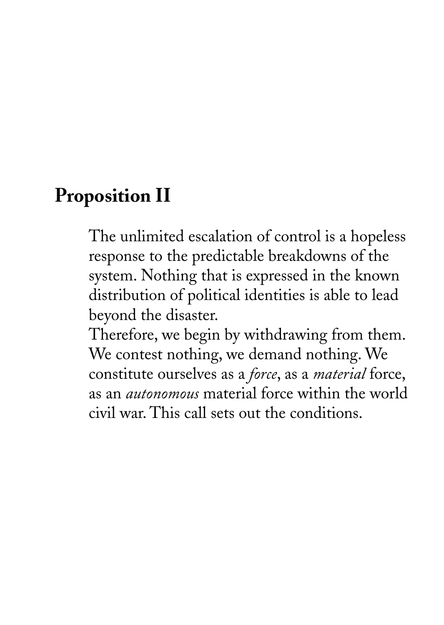#### **Proposition II**

The unlimited escalation of control is a hopeless response to the predictable breakdowns of the system. Nothing that is expressed in the known distribution of political identities is able to lead beyond the disaster.

Therefore, we begin by withdrawing from them. We contest nothing, we demand nothing. We constitute ourselves as a *force*, as a *material* force, as an *autonomous* material force within the world civil war. This call sets out the conditions.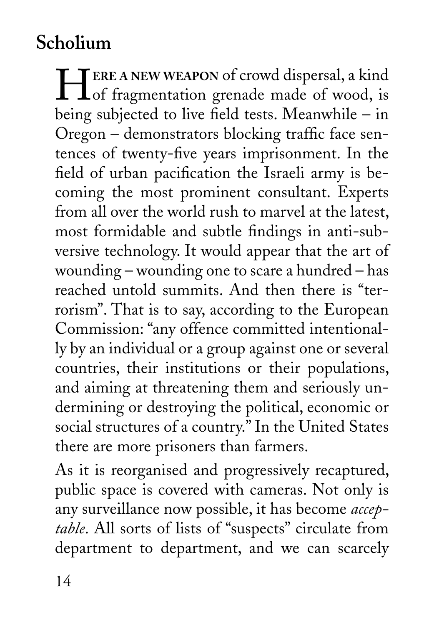## **Scholium**

**HEREA NEW WEAPON** of crowd dispersal, a kind<br>of fragmentation grenade made of wood, is being subjected to live field tests. Meanwhile – in Oregon – demonstrators blocking traffic face sentences of twenty-five years imprisonment. In the field of urban pacification the Israeli army is becoming the most prominent consultant. Experts from all over the world rush to marvel at the latest, most formidable and subtle findings in anti-subversive technology. It would appear that the art of wounding – wounding one to scare a hundred – has reached untold summits. And then there is "terrorism". That is to say, according to the European Commission: "any offence committed intentionally by an individual or a group against one or several countries, their institutions or their populations, and aiming at threatening them and seriously undermining or destroying the political, economic or social structures of a country." In the United States there are more prisoners than farmers.

As it is reorganised and progressively recaptured, public space is covered with cameras. Not only is any surveillance now possible, it has become *acceptable*. All sorts of lists of "suspects" circulate from department to department, and we can scarcely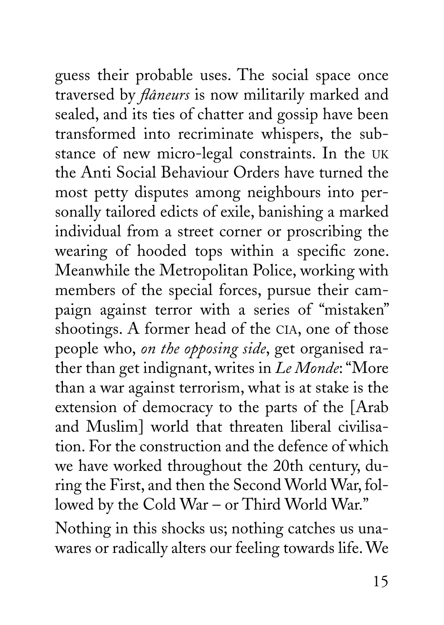guess their probable uses. The social space once traversed by *flâneurs* is now militarily marked and sealed, and its ties of chatter and gossip have been transformed into recriminate whispers, the substance of new micro-legal constraints. In the UK the Anti Social Behaviour Orders have turned the most petty disputes among neighbours into personally tailored edicts of exile, banishing a marked individual from a street corner or proscribing the wearing of hooded tops within a specific zone. Meanwhile the Metropolitan Police, working with members of the special forces, pursue their campaign against terror with a series of "mistaken" shootings. A former head of the CIA, one of those people who, *on the opposing side*, get organised rather than get indignant, writes in *Le Monde*: "More than a war against terrorism, what is at stake is the extension of democracy to the parts of the [Arab and Muslim] world that threaten liberal civilisation. For the construction and the defence of which we have worked throughout the 20th century, during the First, and then the Second World War, followed by the Cold War – or Third World War." Nothing in this shocks us; nothing catches us una-

wares or radically alters our feeling towards life. We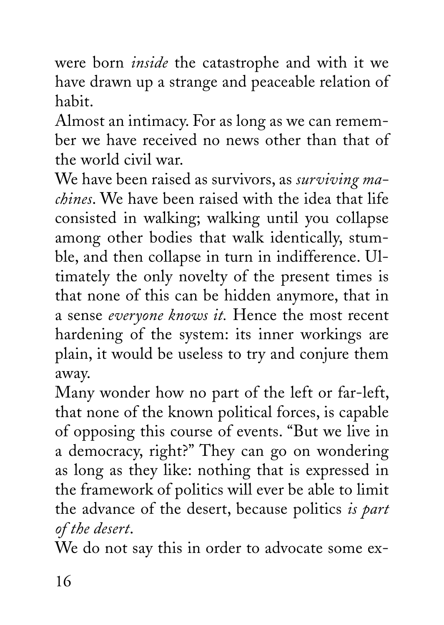were born *inside* the catastrophe and with it we have drawn up a strange and peaceable relation of habit.

Almost an intimacy. For as long as we can remember we have received no news other than that of the world civil war.

We have been raised as survivors, as *surviving machines*. We have been raised with the idea that life consisted in walking; walking until you collapse among other bodies that walk identically, stumble, and then collapse in turn in indifference. Ultimately the only novelty of the present times is that none of this can be hidden anymore, that in a sense *everyone knows it.* Hence the most recent hardening of the system: its inner workings are plain, it would be useless to try and conjure them away.

Many wonder how no part of the left or far-left, that none of the known political forces, is capable of opposing this course of events. "But we live in a democracy, right?" They can go on wondering as long as they like: nothing that is expressed in the framework of politics will ever be able to limit the advance of the desert, because politics *is part of the desert*.

We do not say this in order to advocate some ex-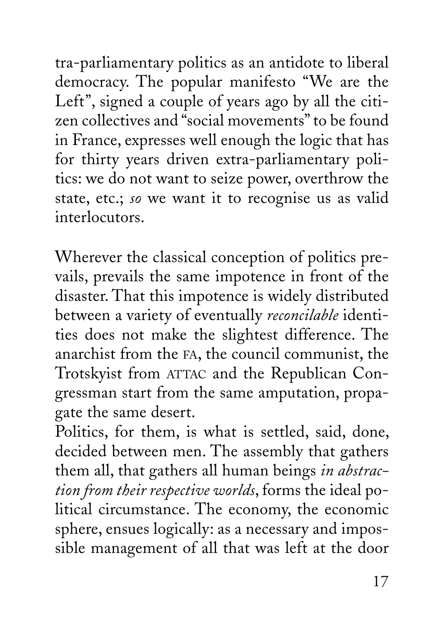tra-parliamentary politics as an antidote to liberal democracy. The popular manifesto "We are the Left", signed a couple of years ago by all the citizen collectives and "social movements" to be found in France, expresses well enough the logic that has for thirty years driven extra-parliamentary politics: we do not want to seize power, overthrow the state, etc.; *so* we want it to recognise us as valid interlocutors.

Wherever the classical conception of politics prevails, prevails the same impotence in front of the disaster. That this impotence is widely distributed between a variety of eventually *reconcilable* identities does not make the slightest difference. The anarchist from the FA, the council communist, the Trotskyist from ATTAC and the Republican Congressman start from the same amputation, propagate the same desert.

Politics, for them, is what is settled, said, done, decided between men. The assembly that gathers them all, that gathers all human beings *in abstraction from their respective worlds*, forms the ideal political circumstance. The economy, the economic sphere, ensues logically: as a necessary and impossible management of all that was left at the door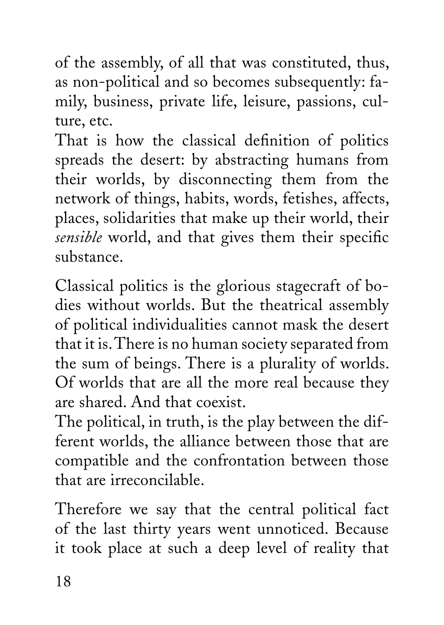of the assembly, of all that was constituted, thus, as non-political and so becomes subsequently: family, business, private life, leisure, passions, culture, etc.

That is how the classical definition of politics spreads the desert: by abstracting humans from their worlds, by disconnecting them from the network of things, habits, words, fetishes, affects, places, solidarities that make up their world, their *sensible* world, and that gives them their specific substance.

Classical politics is the glorious stagecraft of bodies without worlds. But the theatrical assembly of political individualities cannot mask the desert that it is. There is no human society separated from the sum of beings. There is a plurality of worlds. Of worlds that are all the more real because they are shared. And that coexist.

The political, in truth, is the play between the different worlds, the alliance between those that are compatible and the confrontation between those that are irreconcilable.

Therefore we say that the central political fact of the last thirty years went unnoticed. Because it took place at such a deep level of reality that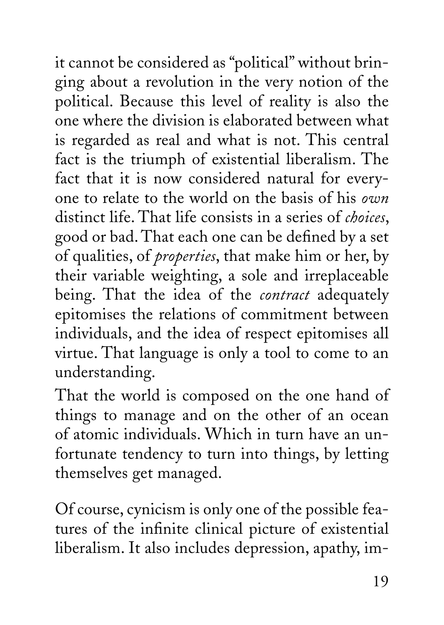it cannot be considered as "political" without bringing about a revolution in the very notion of the political. Because this level of reality is also the one where the division is elaborated between what is regarded as real and what is not. This central fact is the triumph of existential liberalism. The fact that it is now considered natural for everyone to relate to the world on the basis of his *own* distinct life. That life consists in a series of *choices*, good or bad. That each one can be defined by a set of qualities, of *properties*, that make him or her, by their variable weighting, a sole and irreplaceable being. That the idea of the *contract* adequately epitomises the relations of commitment between individuals, and the idea of respect epitomises all virtue. That language is only a tool to come to an understanding.

That the world is composed on the one hand of things to manage and on the other of an ocean of atomic individuals. Which in turn have an unfortunate tendency to turn into things, by letting themselves get managed.

Of course, cynicism is only one of the possible features of the infinite clinical picture of existential liberalism. It also includes depression, apathy, im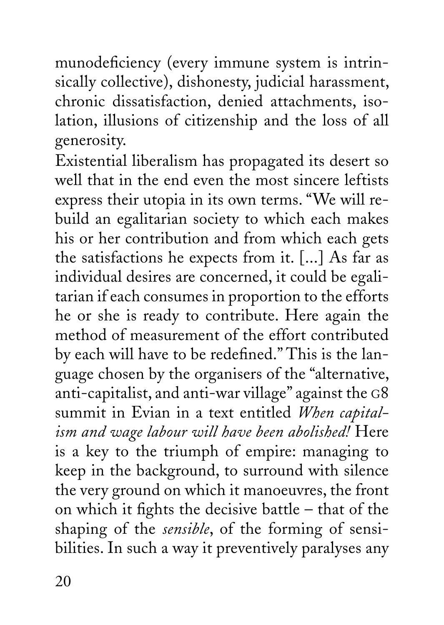munodeficiency (every immune system is intrinsically collective), dishonesty, judicial harassment, chronic dissatisfaction, denied attachments, isolation, illusions of citizenship and the loss of all generosity.

Existential liberalism has propagated its desert so well that in the end even the most sincere leftists express their utopia in its own terms. "We will rebuild an egalitarian society to which each makes his or her contribution and from which each gets the satisfactions he expects from it. [...] As far as individual desires are concerned, it could be egalitarian if each consumes in proportion to the efforts he or she is ready to contribute. Here again the method of measurement of the effort contributed by each will have to be redefined." This is the language chosen by the organisers of the "alternative, anti-capitalist, and anti-war village" against the G8 summit in Evian in a text entitled *When capitalism and wage labour will have been abolished!* Here is a key to the triumph of empire: managing to keep in the background, to surround with silence the very ground on which it manoeuvres, the front on which it fights the decisive battle – that of the shaping of the *sensible*, of the forming of sensibilities. In such a way it preventively paralyses any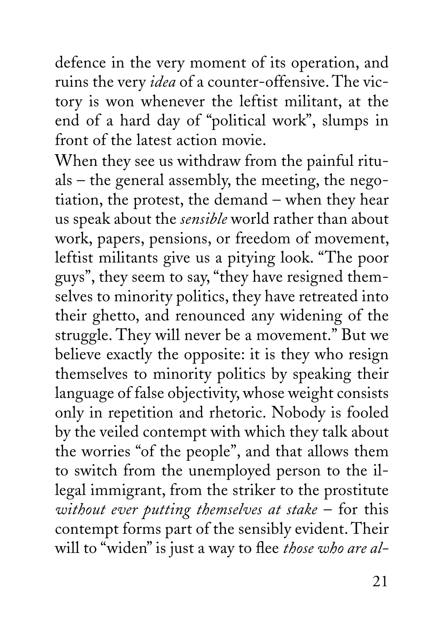defence in the very moment of its operation, and ruins the very *idea* of a counter-offensive. The victory is won whenever the leftist militant, at the end of a hard day of "political work", slumps in front of the latest action movie.

When they see us withdraw from the painful rituals – the general assembly, the meeting, the negotiation, the protest, the demand – when they hear us speak about the *sensible* world rather than about work, papers, pensions, or freedom of movement, leftist militants give us a pitying look. "The poor guys", they seem to say, "they have resigned themselves to minority politics, they have retreated into their ghetto, and renounced any widening of the struggle. They will never be a movement." But we believe exactly the opposite: it is they who resign themselves to minority politics by speaking their language of false objectivity, whose weight consists only in repetition and rhetoric. Nobody is fooled by the veiled contempt with which they talk about the worries "of the people", and that allows them to switch from the unemployed person to the illegal immigrant, from the striker to the prostitute *without ever putting themselves at stake* – for this contempt forms part of the sensibly evident. Their will to "widen" is just a way to flee *those who are al-*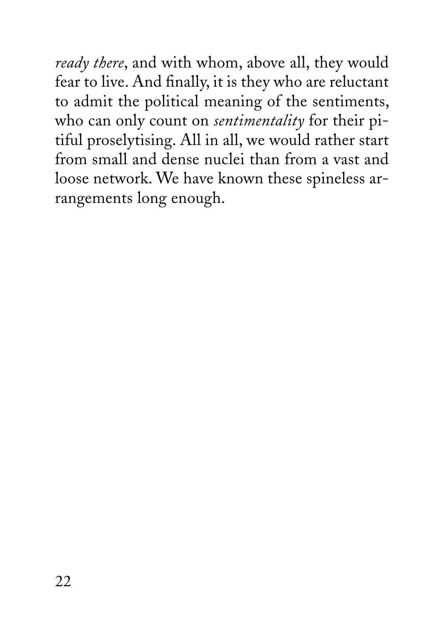*ready there*, and with whom, above all, they would fear to live. And finally, it is they who are reluctant to admit the political meaning of the sentiments, who can only count on *sentimentality* for their pitiful proselytising. All in all, we would rather start from small and dense nuclei than from a vast and loose network. We have known these spineless arrangements long enough.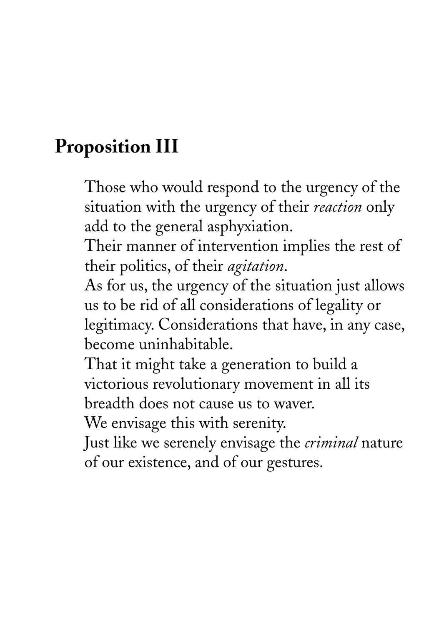#### **Proposition III**

Those who would respond to the urgency of the situation with the urgency of their *reaction* only add to the general asphyxiation.

Their manner of intervention implies the rest of their politics, of their *agitation*.

As for us, the urgency of the situation just allows us to be rid of all considerations of legality or legitimacy. Considerations that have, in any case, become uninhabitable.

That it might take a generation to build a victorious revolutionary movement in all its breadth does not cause us to waver.

We envisage this with serenity.

Just like we serenely envisage the *criminal* nature of our existence, and of our gestures.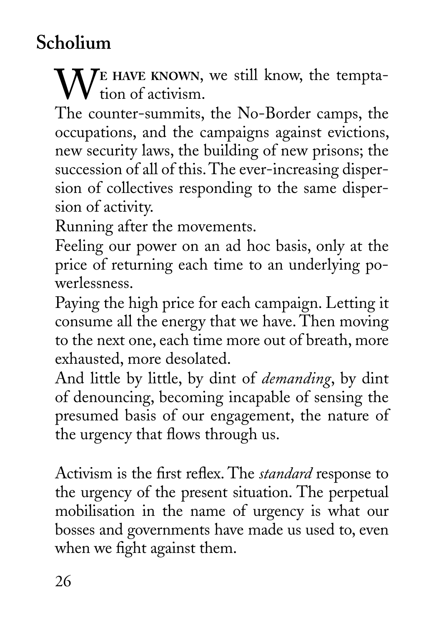### **Scholium**

WE HAVE KNOWN, we still know, the temptation of activism.

The counter-summits, the No-Border camps, the occupations, and the campaigns against evictions, new security laws, the building of new prisons; the succession of all of this. The ever-increasing dispersion of collectives responding to the same dispersion of activity.

Running after the movements.

Feeling our power on an ad hoc basis, only at the price of returning each time to an underlying powerlessness.

Paying the high price for each campaign. Letting it consume all the energy that we have. Then moving to the next one, each time more out of breath, more exhausted, more desolated.

And little by little, by dint of *demanding*, by dint of denouncing, becoming incapable of sensing the presumed basis of our engagement, the nature of the urgency that flows through us.

Activism is the first reflex. The *standard* response to the urgency of the present situation. The perpetual mobilisation in the name of urgency is what our bosses and governments have made us used to, even when we fight against them.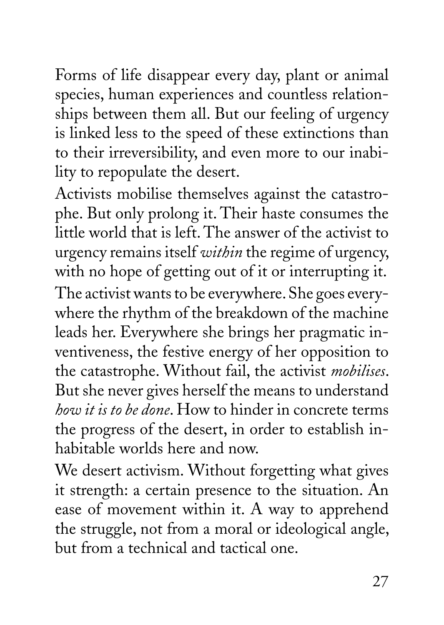Forms of life disappear every day, plant or animal species, human experiences and countless relationships between them all. But our feeling of urgency is linked less to the speed of these extinctions than to their irreversibility, and even more to our inability to repopulate the desert.

Activists mobilise themselves against the catastrophe. But only prolong it. Their haste consumes the little world that is left. The answer of the activist to urgency remains itself *within* the regime of urgency, with no hope of getting out of it or interrupting it. The activist wants to be everywhere. She goes everywhere the rhythm of the breakdown of the machine leads her. Everywhere she brings her pragmatic inventiveness, the festive energy of her opposition to the catastrophe. Without fail, the activist *mobilises*. But she never gives herself the means to understand *how it is to be done*. How to hinder in concrete terms the progress of the desert, in order to establish inhabitable worlds here and now.

We desert activism. Without forgetting what gives it strength: a certain presence to the situation. An ease of movement within it. A way to apprehend the struggle, not from a moral or ideological angle, but from a technical and tactical one.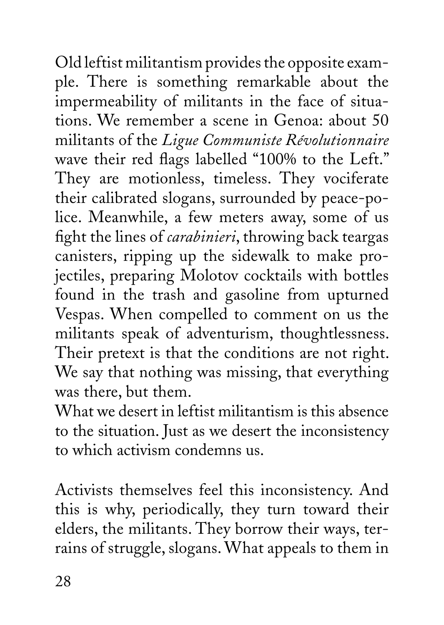Old leftist militantism provides the opposite example. There is something remarkable about the impermeability of militants in the face of situations. We remember a scene in Genoa: about 50 militants of the *Ligue Communiste Révolutionnaire* wave their red flags labelled "100% to the Left." They are motionless, timeless. They vociferate their calibrated slogans, surrounded by peace-police. Meanwhile, a few meters away, some of us fight the lines of *carabinieri*, throwing back teargas canisters, ripping up the sidewalk to make projectiles, preparing Molotov cocktails with bottles found in the trash and gasoline from upturned Vespas. When compelled to comment on us the militants speak of adventurism, thoughtlessness. Their pretext is that the conditions are not right. We say that nothing was missing, that everything was there, but them.

What we desert in leftist militantism is this absence to the situation. Just as we desert the inconsistency to which activism condemns us.

Activists themselves feel this inconsistency. And this is why, periodically, they turn toward their elders, the militants. They borrow their ways, terrains of struggle, slogans. What appeals to them in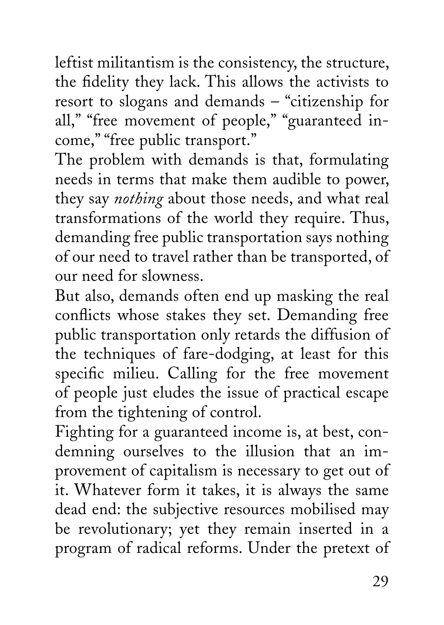leftist militantism is the consistency, the structure, the fidelity they lack. This allows the activists to resort to slogans and demands – "citizenship for all," "free movement of people," "guaranteed income," "free public transport."

The problem with demands is that, formulating needs in terms that make them audible to power, they say *nothing* about those needs, and what real transformations of the world they require. Thus, demanding free public transportation says nothing of our need to travel rather than be transported, of our need for slowness.

But also, demands often end up masking the real conflicts whose stakes they set. Demanding free public transportation only retards the diffusion of the techniques of fare-dodging, at least for this specific milieu. Calling for the free movement of people just eludes the issue of practical escape from the tightening of control.

Fighting for a guaranteed income is, at best, condemning ourselves to the illusion that an improvement of capitalism is necessary to get out of it. Whatever form it takes, it is always the same dead end: the subjective resources mobilised may be revolutionary; yet they remain inserted in a program of radical reforms. Under the pretext of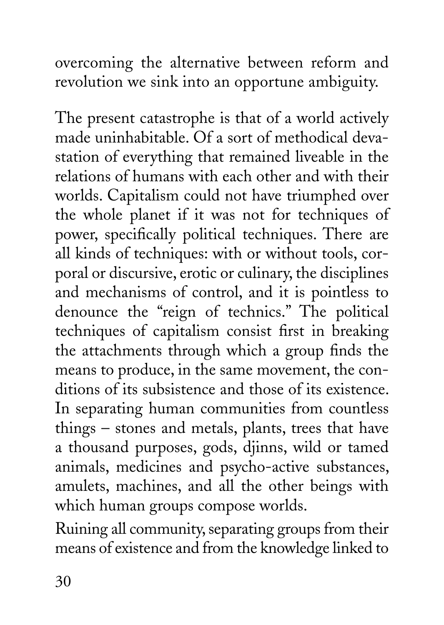overcoming the alternative between reform and revolution we sink into an opportune ambiguity.

The present catastrophe is that of a world actively made uninhabitable. Of a sort of methodical devastation of everything that remained liveable in the relations of humans with each other and with their worlds. Capitalism could not have triumphed over the whole planet if it was not for techniques of power, specifically political techniques. There are all kinds of techniques: with or without tools, corporal or discursive, erotic or culinary, the disciplines and mechanisms of control, and it is pointless to denounce the "reign of technics." The political techniques of capitalism consist first in breaking the attachments through which a group finds the means to produce, in the same movement, the conditions of its subsistence and those of its existence. In separating human communities from countless things – stones and metals, plants, trees that have a thousand purposes, gods, djinns, wild or tamed animals, medicines and psycho-active substances, amulets, machines, and all the other beings with which human groups compose worlds.

Ruining all community, separating groups from their means of existence and from the knowledge linked to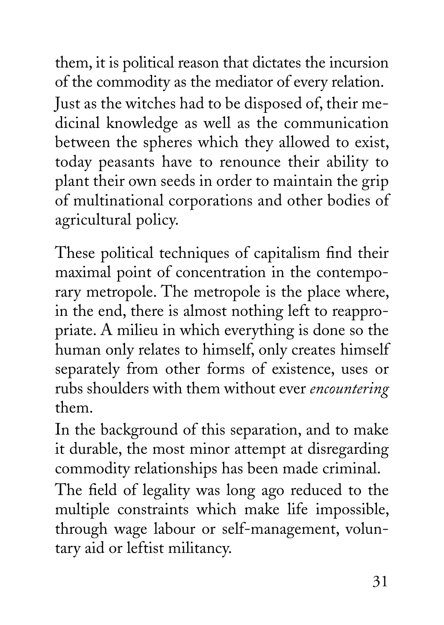them, it is political reason that dictates the incursion of the commodity as the mediator of every relation. Just as the witches had to be disposed of, their medicinal knowledge as well as the communication between the spheres which they allowed to exist, today peasants have to renounce their ability to plant their own seeds in order to maintain the grip of multinational corporations and other bodies of agricultural policy.

These political techniques of capitalism find their maximal point of concentration in the contemporary metropole. The metropole is the place where, in the end, there is almost nothing left to reappropriate. A milieu in which everything is done so the human only relates to himself, only creates himself separately from other forms of existence, uses or rubs shoulders with them without ever *encountering* them.

In the background of this separation, and to make it durable, the most minor attempt at disregarding commodity relationships has been made criminal.

The field of legality was long ago reduced to the multiple constraints which make life impossible, through wage labour or self-management, voluntary aid or leftist militancy.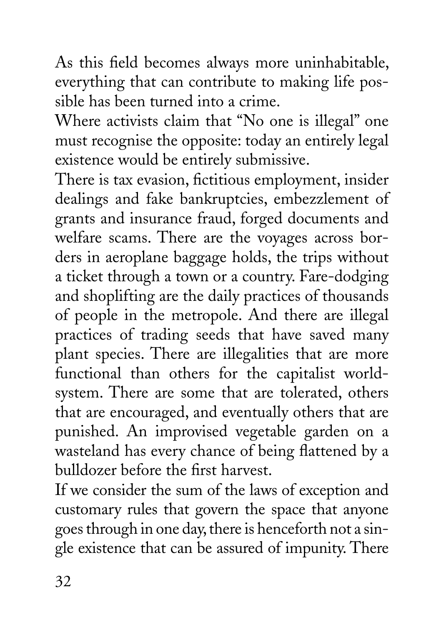As this field becomes always more uninhabitable, everything that can contribute to making life possible has been turned into a crime.

Where activists claim that "No one is illegal" one must recognise the opposite: today an entirely legal existence would be entirely submissive.

There is tax evasion, fictitious employment, insider dealings and fake bankruptcies, embezzlement of grants and insurance fraud, forged documents and welfare scams. There are the voyages across borders in aeroplane baggage holds, the trips without a ticket through a town or a country. Fare-dodging and shoplifting are the daily practices of thousands of people in the metropole. And there are illegal practices of trading seeds that have saved many plant species. There are illegalities that are more functional than others for the capitalist worldsystem. There are some that are tolerated, others that are encouraged, and eventually others that are punished. An improvised vegetable garden on a wasteland has every chance of being flattened by a bulldozer before the first harvest.

If we consider the sum of the laws of exception and customary rules that govern the space that anyone goes through in one day, there is henceforth not a single existence that can be assured of impunity. There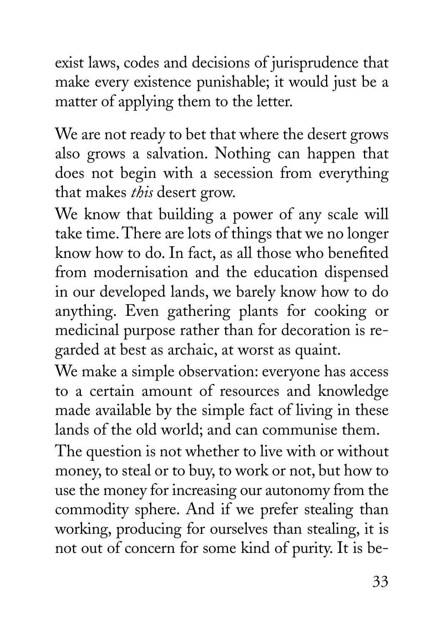exist laws, codes and decisions of jurisprudence that make every existence punishable; it would just be a matter of applying them to the letter.

We are not ready to bet that where the desert grows also grows a salvation. Nothing can happen that does not begin with a secession from everything that makes *this* desert grow.

We know that building a power of any scale will take time. There are lots of things that we no longer know how to do. In fact, as all those who benefited from modernisation and the education dispensed in our developed lands, we barely know how to do anything. Even gathering plants for cooking or medicinal purpose rather than for decoration is regarded at best as archaic, at worst as quaint.

We make a simple observation: everyone has access to a certain amount of resources and knowledge made available by the simple fact of living in these lands of the old world; and can communise them.

The question is not whether to live with or without money, to steal or to buy, to work or not, but how to use the money for increasing our autonomy from the commodity sphere. And if we prefer stealing than working, producing for ourselves than stealing, it is not out of concern for some kind of purity. It is be-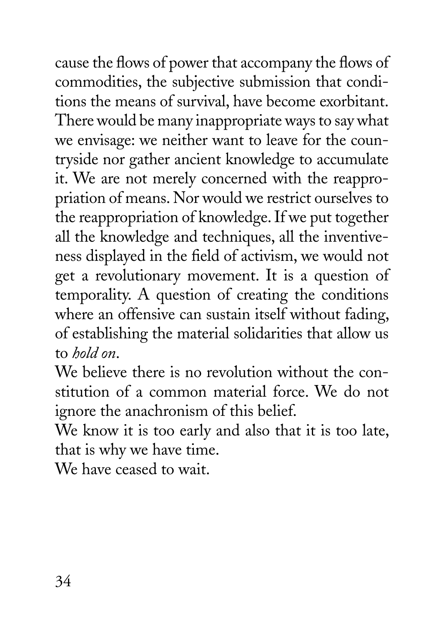cause the flows of power that accompany the flows of commodities, the subjective submission that conditions the means of survival, have become exorbitant. There would be many inappropriate ways to say what we envisage: we neither want to leave for the countryside nor gather ancient knowledge to accumulate it. We are not merely concerned with the reappropriation of means. Nor would we restrict ourselves to the reappropriation of knowledge. If we put together all the knowledge and techniques, all the inventiveness displayed in the field of activism, we would not get a revolutionary movement. It is a question of temporality. A question of creating the conditions where an offensive can sustain itself without fading, of establishing the material solidarities that allow us to *hold on*.

We believe there is no revolution without the constitution of a common material force. We do not ignore the anachronism of this belief.

We know it is too early and also that it is too late, that is why we have time.

We have ceased to wait.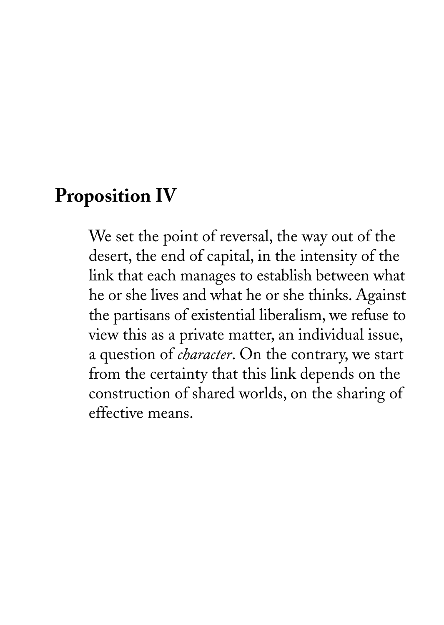#### **Proposition IV**

We set the point of reversal, the way out of the desert, the end of capital, in the intensity of the link that each manages to establish between what he or she lives and what he or she thinks. Against the partisans of existential liberalism, we refuse to view this as a private matter, an individual issue, a question of *character*. On the contrary, we start from the certainty that this link depends on the construction of shared worlds, on the sharing of effective means.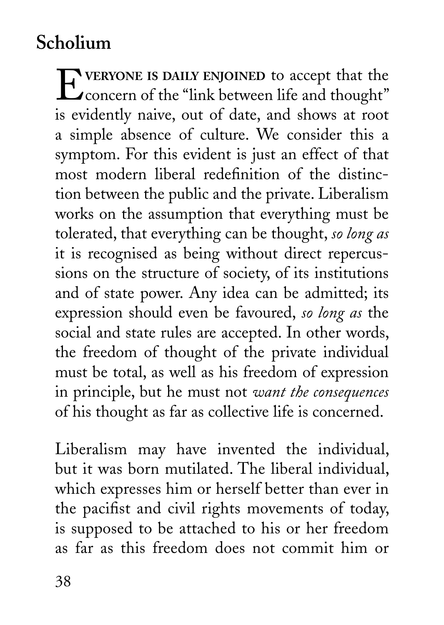## **Scholium**

E**VERYONE IS DAILY ENJOINED** to accept that the **L** concern of the "link between life and thought" is evidently naive, out of date, and shows at root a simple absence of culture. We consider this a symptom. For this evident is just an effect of that most modern liberal redefinition of the distinction between the public and the private. Liberalism works on the assumption that everything must be tolerated, that everything can be thought, *so long as* it is recognised as being without direct repercussions on the structure of society, of its institutions and of state power. Any idea can be admitted; its expression should even be favoured, *so long as* the social and state rules are accepted. In other words, the freedom of thought of the private individual must be total, as well as his freedom of expression in principle, but he must not *want the consequences* of his thought as far as collective life is concerned.

Liberalism may have invented the individual, but it was born mutilated. The liberal individual, which expresses him or herself better than ever in the pacifist and civil rights movements of today, is supposed to be attached to his or her freedom as far as this freedom does not commit him or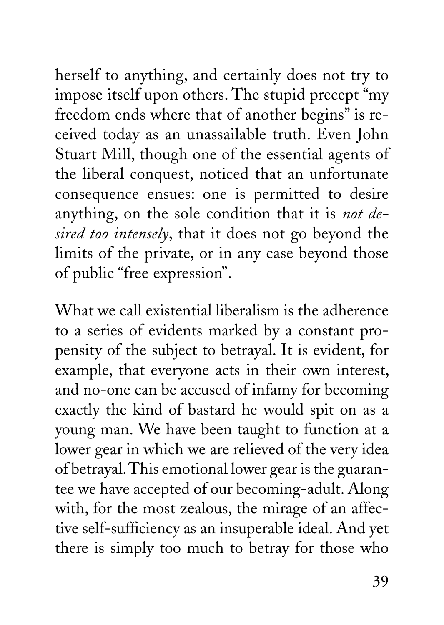herself to anything, and certainly does not try to impose itself upon others. The stupid precept "my freedom ends where that of another begins" is received today as an unassailable truth. Even John Stuart Mill, though one of the essential agents of the liberal conquest, noticed that an unfortunate consequence ensues: one is permitted to desire anything, on the sole condition that it is *not desired too intensely*, that it does not go beyond the limits of the private, or in any case beyond those of public "free expression".

What we call existential liberalism is the adherence to a series of evidents marked by a constant propensity of the subject to betrayal. It is evident, for example, that everyone acts in their own interest, and no-one can be accused of infamy for becoming exactly the kind of bastard he would spit on as a young man. We have been taught to function at a lower gear in which we are relieved of the very idea of betrayal. This emotional lower gear is the guarantee we have accepted of our becoming-adult. Along with, for the most zealous, the mirage of an affective self-sufficiency as an insuperable ideal. And yet there is simply too much to betray for those who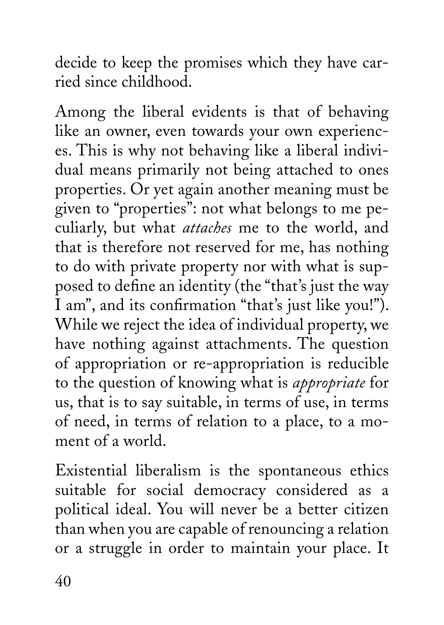decide to keep the promises which they have carried since childhood.

Among the liberal evidents is that of behaving like an owner, even towards your own experiences. This is why not behaving like a liberal individual means primarily not being attached to ones properties. Or yet again another meaning must be given to "properties": not what belongs to me peculiarly, but what *attaches* me to the world, and that is therefore not reserved for me, has nothing to do with private property nor with what is supposed to define an identity (the "that's just the way I am", and its confirmation "that's just like you!"). While we reject the idea of individual property, we have nothing against attachments. The question of appropriation or re-appropriation is reducible to the question of knowing what is *appropriate* for us, that is to say suitable, in terms of use, in terms of need, in terms of relation to a place, to a moment of a world.

Existential liberalism is the spontaneous ethics suitable for social democracy considered as a political ideal. You will never be a better citizen than when you are capable of renouncing a relation or a struggle in order to maintain your place. It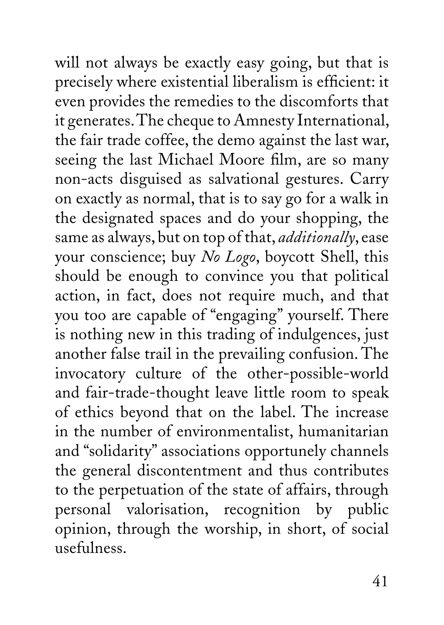will not always be exactly easy going, but that is precisely where existential liberalism is efficient: it even provides the remedies to the discomforts that it generates. The cheque to Amnesty International, the fair trade coffee, the demo against the last war, seeing the last Michael Moore film, are so many non-acts disguised as salvational gestures. Carry on exactly as normal, that is to say go for a walk in the designated spaces and do your shopping, the same as always, but on top of that, *additionally*, ease your conscience; buy *No Logo*, boycott Shell, this should be enough to convince you that political action, in fact, does not require much, and that you too are capable of "engaging" yourself. There is nothing new in this trading of indulgences, just another false trail in the prevailing confusion. The invocatory culture of the other-possible-world and fair-trade-thought leave little room to speak of ethics beyond that on the label. The increase in the number of environmentalist, humanitarian and "solidarity" associations opportunely channels the general discontentment and thus contributes to the perpetuation of the state of affairs, through personal valorisation, recognition by public opinion, through the worship, in short, of social usefulness.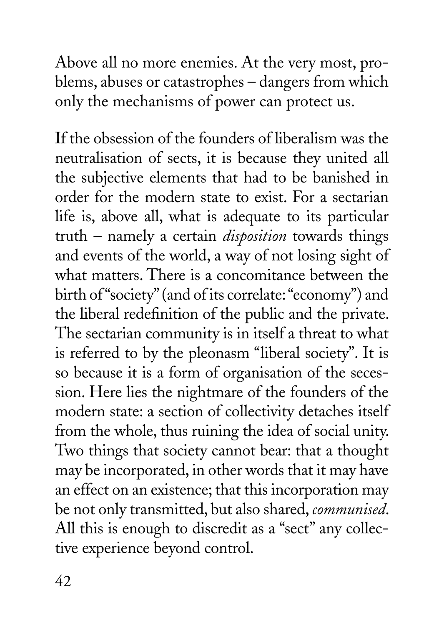Above all no more enemies. At the very most, problems, abuses or catastrophes – dangers from which only the mechanisms of power can protect us.

If the obsession of the founders of liberalism was the neutralisation of sects, it is because they united all the subjective elements that had to be banished in order for the modern state to exist. For a sectarian life is, above all, what is adequate to its particular truth – namely a certain *disposition* towards things and events of the world, a way of not losing sight of what matters. There is a concomitance between the birth of "society" (and of its correlate: "economy") and the liberal redefinition of the public and the private. The sectarian community is in itself a threat to what is referred to by the pleonasm "liberal society". It is so because it is a form of organisation of the secession. Here lies the nightmare of the founders of the modern state: a section of collectivity detaches itself from the whole, thus ruining the idea of social unity. Two things that society cannot bear: that a thought may be incorporated, in other words that it may have an effect on an existence; that this incorporation may be not only transmitted, but also shared, *communised*. All this is enough to discredit as a "sect" any collective experience beyond control.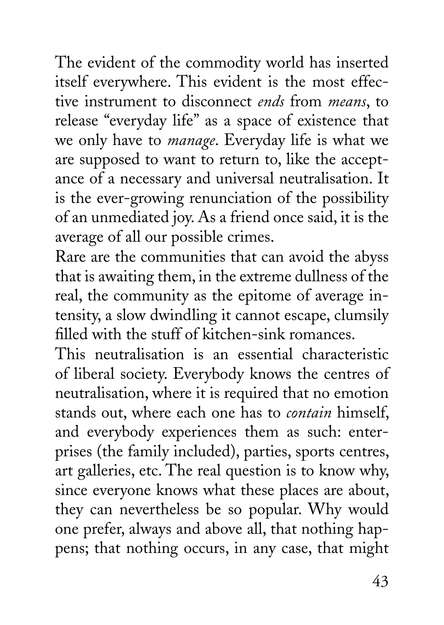The evident of the commodity world has inserted itself everywhere. This evident is the most effective instrument to disconnect *ends* from *means*, to release "everyday life" as a space of existence that we only have to *manage*. Everyday life is what we are supposed to want to return to, like the acceptance of a necessary and universal neutralisation. It is the ever-growing renunciation of the possibility of an unmediated joy. As a friend once said, it is the average of all our possible crimes.

Rare are the communities that can avoid the abyss that is awaiting them, in the extreme dullness of the real, the community as the epitome of average intensity, a slow dwindling it cannot escape, clumsily filled with the stuff of kitchen-sink romances.

This neutralisation is an essential characteristic of liberal society. Everybody knows the centres of neutralisation, where it is required that no emotion stands out, where each one has to *contain* himself, and everybody experiences them as such: enterprises (the family included), parties, sports centres, art galleries, etc. The real question is to know why, since everyone knows what these places are about, they can nevertheless be so popular. Why would one prefer, always and above all, that nothing happens; that nothing occurs, in any case, that might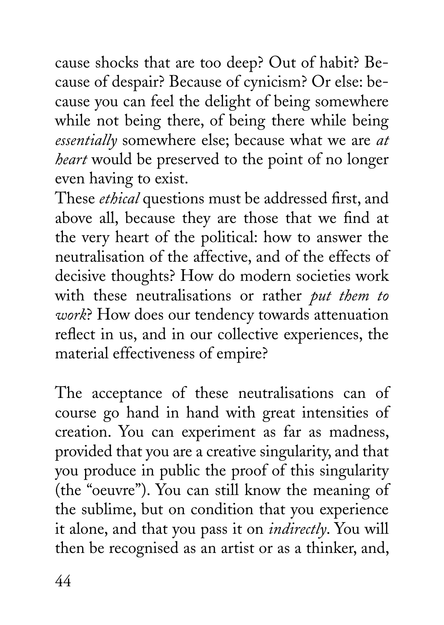cause shocks that are too deep? Out of habit? Because of despair? Because of cynicism? Or else: because you can feel the delight of being somewhere while not being there, of being there while being *essentially* somewhere else; because what we are *at heart* would be preserved to the point of no longer even having to exist.

These *ethical* questions must be addressed first, and above all, because they are those that we find at the very heart of the political: how to answer the neutralisation of the affective, and of the effects of decisive thoughts? How do modern societies work with these neutralisations or rather *put them to work*? How does our tendency towards attenuation reflect in us, and in our collective experiences, the material effectiveness of empire?

The acceptance of these neutralisations can of course go hand in hand with great intensities of creation. You can experiment as far as madness, provided that you are a creative singularity, and that you produce in public the proof of this singularity (the "oeuvre"). You can still know the meaning of the sublime, but on condition that you experience it alone, and that you pass it on *indirectly*. You will then be recognised as an artist or as a thinker, and,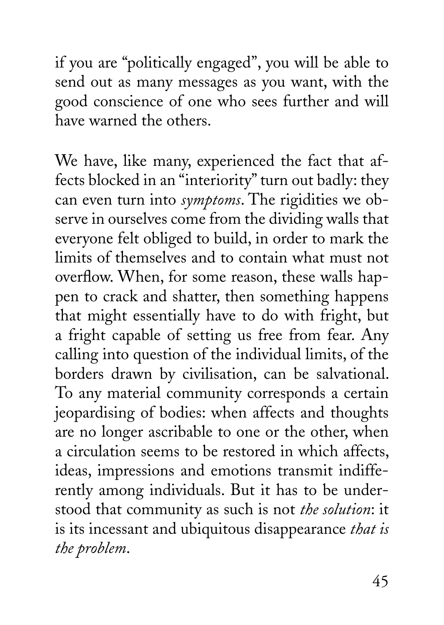if you are "politically engaged", you will be able to send out as many messages as you want, with the good conscience of one who sees further and will have warned the others.

We have, like many, experienced the fact that affects blocked in an "interiority" turn out badly: they can even turn into *symptoms*. The rigidities we observe in ourselves come from the dividing walls that everyone felt obliged to build, in order to mark the limits of themselves and to contain what must not overflow. When, for some reason, these walls happen to crack and shatter, then something happens that might essentially have to do with fright, but a fright capable of setting us free from fear. Any calling into question of the individual limits, of the borders drawn by civilisation, can be salvational. To any material community corresponds a certain jeopardising of bodies: when affects and thoughts are no longer ascribable to one or the other, when a circulation seems to be restored in which affects, ideas, impressions and emotions transmit indifferently among individuals. But it has to be understood that community as such is not *the solution*: it is its incessant and ubiquitous disappearance *that is the problem*.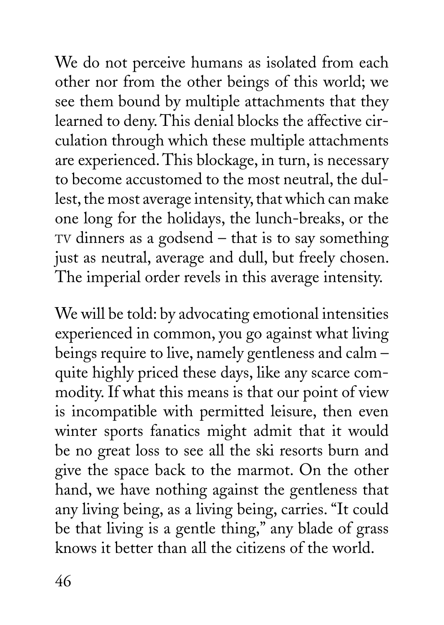We do not perceive humans as isolated from each other nor from the other beings of this world; we see them bound by multiple attachments that they learned to deny. This denial blocks the affective circulation through which these multiple attachments are experienced. This blockage, in turn, is necessary to become accustomed to the most neutral, the dullest, the most average intensity, that which can make one long for the holidays, the lunch-breaks, or the TV dinners as a godsend – that is to say something just as neutral, average and dull, but freely chosen. The imperial order revels in this average intensity.

We will be told: by advocating emotional intensities experienced in common, you go against what living beings require to live, namely gentleness and calm – quite highly priced these days, like any scarce commodity. If what this means is that our point of view is incompatible with permitted leisure, then even winter sports fanatics might admit that it would be no great loss to see all the ski resorts burn and give the space back to the marmot. On the other hand, we have nothing against the gentleness that any living being, as a living being, carries. "It could be that living is a gentle thing," any blade of grass knows it better than all the citizens of the world.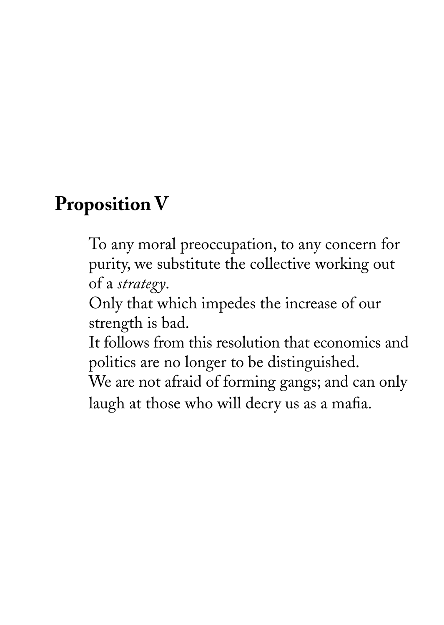# **Proposition V**

To any moral preoccupation, to any concern for purity, we substitute the collective working out of a *strategy*.

Only that which impedes the increase of our strength is bad.

It follows from this resolution that economics and politics are no longer to be distinguished.

We are not afraid of forming gangs; and can only laugh at those who will decry us as a mafia.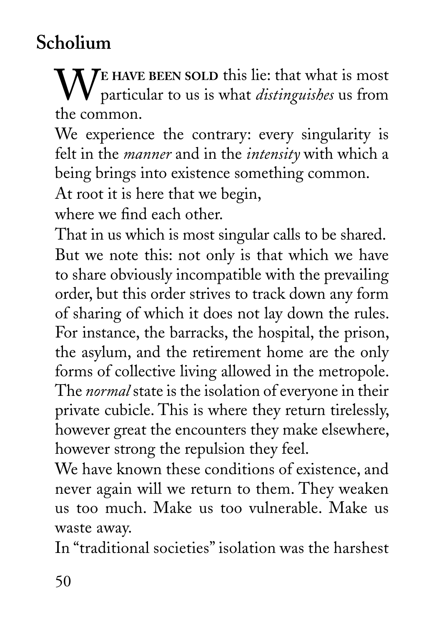## **Scholium**

W**<sup>E</sup> HAVE BEEN SOLD** this lie: that what is most particular to us is what *distinguishes* us from the common.

We experience the contrary: every singularity is felt in the *manner* and in the *intensity* with which a being brings into existence something common.

At root it is here that we begin,

where we find each other.

That in us which is most singular calls to be shared. But we note this: not only is that which we have to share obviously incompatible with the prevailing order, but this order strives to track down any form of sharing of which it does not lay down the rules. For instance, the barracks, the hospital, the prison, the asylum, and the retirement home are the only forms of collective living allowed in the metropole. The *normal* state is the isolation of everyone in their private cubicle. This is where they return tirelessly, however great the encounters they make elsewhere, however strong the repulsion they feel.

We have known these conditions of existence, and never again will we return to them. They weaken us too much. Make us too vulnerable. Make us waste away.

In "traditional societies" isolation was the harshest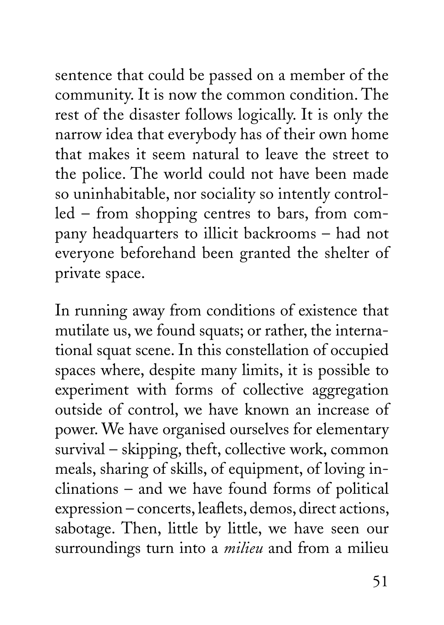sentence that could be passed on a member of the community. It is now the common condition. The rest of the disaster follows logically. It is only the narrow idea that everybody has of their own home that makes it seem natural to leave the street to the police. The world could not have been made so uninhabitable, nor sociality so intently controlled – from shopping centres to bars, from company headquarters to illicit backrooms – had not everyone beforehand been granted the shelter of private space.

In running away from conditions of existence that mutilate us, we found squats; or rather, the international squat scene. In this constellation of occupied spaces where, despite many limits, it is possible to experiment with forms of collective aggregation outside of control, we have known an increase of power. We have organised ourselves for elementary survival – skipping, theft, collective work, common meals, sharing of skills, of equipment, of loving inclinations – and we have found forms of political expression – concerts, leaflets, demos, direct actions, sabotage. Then, little by little, we have seen our surroundings turn into a *milieu* and from a milieu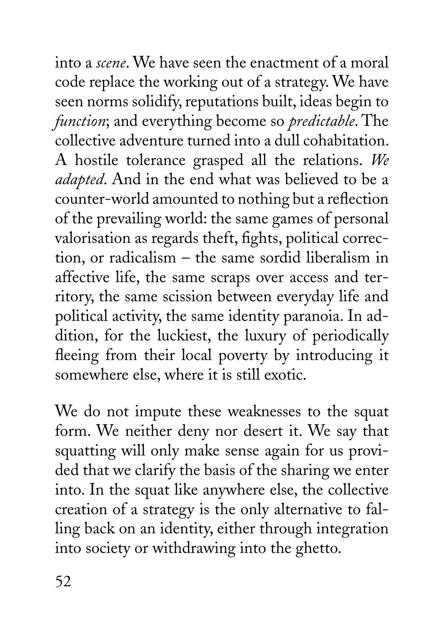into a *scene*. We have seen the enactment of a moral code replace the working out of a strategy. We have seen norms solidify, reputations built, ideas begin to *function*; and everything become so *predictable*. The collective adventure turned into a dull cohabitation. A hostile tolerance grasped all the relations. *We adapted*. And in the end what was believed to be a counter-world amounted to nothing but a reflection of the prevailing world: the same games of personal valorisation as regards theft, fights, political correction, or radicalism – the same sordid liberalism in affective life, the same scraps over access and territory, the same scission between everyday life and political activity, the same identity paranoia. In addition, for the luckiest, the luxury of periodically fleeing from their local poverty by introducing it somewhere else, where it is still exotic.

We do not impute these weaknesses to the squat form. We neither deny nor desert it. We say that squatting will only make sense again for us provided that we clarify the basis of the sharing we enter into. In the squat like anywhere else, the collective creation of a strategy is the only alternative to falling back on an identity, either through integration into society or withdrawing into the ghetto.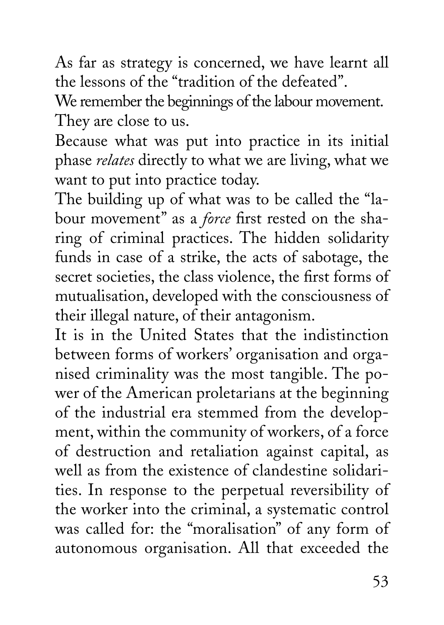As far as strategy is concerned, we have learnt all the lessons of the "tradition of the defeated".

We remember the beginnings of the labour movement. They are close to us.

Because what was put into practice in its initial phase *relates* directly to what we are living, what we want to put into practice today.

The building up of what was to be called the "labour movement" as a *force* first rested on the sharing of criminal practices. The hidden solidarity funds in case of a strike, the acts of sabotage, the secret societies, the class violence, the first forms of mutualisation, developed with the consciousness of their illegal nature, of their antagonism.

It is in the United States that the indistinction between forms of workers' organisation and organised criminality was the most tangible. The power of the American proletarians at the beginning of the industrial era stemmed from the development, within the community of workers, of a force of destruction and retaliation against capital, as well as from the existence of clandestine solidarities. In response to the perpetual reversibility of the worker into the criminal, a systematic control was called for: the "moralisation" of any form of autonomous organisation. All that exceeded the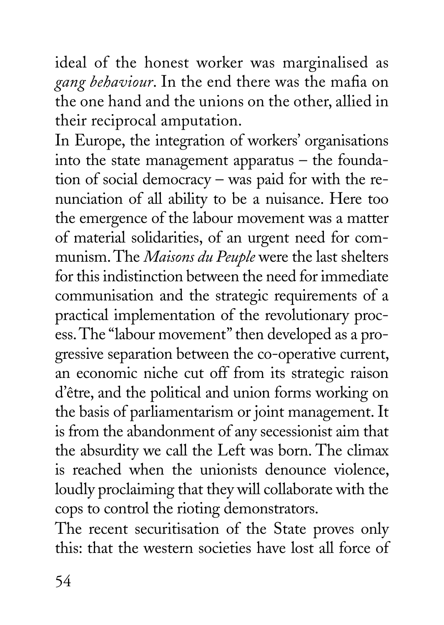ideal of the honest worker was marginalised as *gang behaviour*. In the end there was the mafia on the one hand and the unions on the other, allied in their reciprocal amputation.

In Europe, the integration of workers' organisations into the state management apparatus – the foundation of social democracy – was paid for with the renunciation of all ability to be a nuisance. Here too the emergence of the labour movement was a matter of material solidarities, of an urgent need for communism. The *Maisons du Peuple* were the last shelters for this indistinction between the need for immediate communisation and the strategic requirements of a practical implementation of the revolutionary process. The "labour movement" then developed as a progressive separation between the co-operative current, an economic niche cut off from its strategic raison d'être, and the political and union forms working on the basis of parliamentarism or joint management. It is from the abandonment of any secessionist aim that the absurdity we call the Left was born. The climax is reached when the unionists denounce violence, loudly proclaiming that they will collaborate with the cops to control the rioting demonstrators.

The recent securitisation of the State proves only this: that the western societies have lost all force of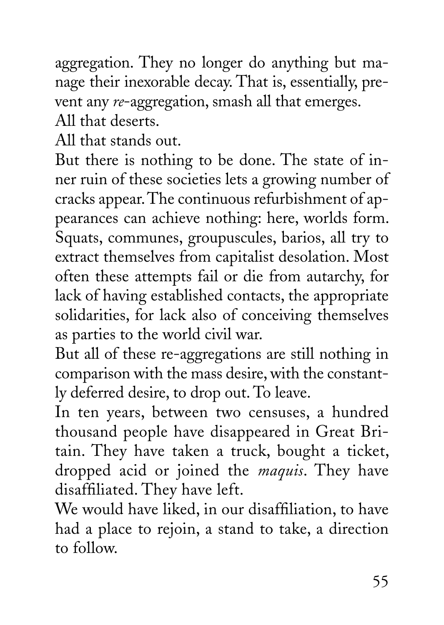aggregation. They no longer do anything but manage their inexorable decay. That is, essentially, prevent any *re*-aggregation, smash all that emerges.

All that deserts.

All that stands out.

But there is nothing to be done. The state of inner ruin of these societies lets a growing number of cracks appear. The continuous refurbishment of appearances can achieve nothing: here, worlds form. Squats, communes, groupuscules, barios, all try to extract themselves from capitalist desolation. Most often these attempts fail or die from autarchy, for lack of having established contacts, the appropriate solidarities, for lack also of conceiving themselves as parties to the world civil war.

But all of these re-aggregations are still nothing in comparison with the mass desire, with the constantly deferred desire, to drop out. To leave.

In ten years, between two censuses, a hundred thousand people have disappeared in Great Britain. They have taken a truck, bought a ticket, dropped acid or joined the *maquis*. They have disaffiliated. They have left.

We would have liked, in our disaffiliation, to have had a place to rejoin, a stand to take, a direction to follow.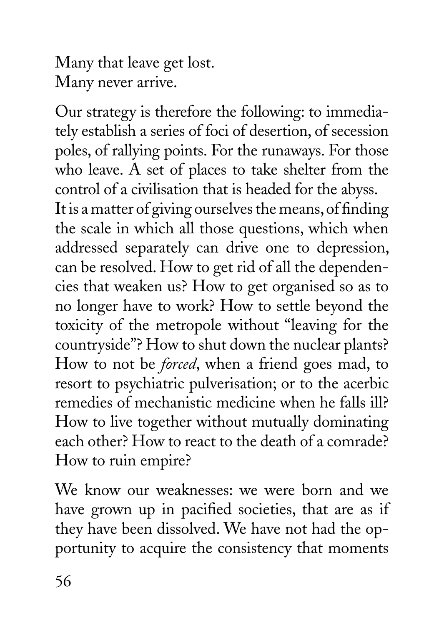Many that leave get lost. Many never arrive.

Our strategy is therefore the following: to immediately establish a series of foci of desertion, of secession poles, of rallying points. For the runaways. For those who leave. A set of places to take shelter from the control of a civilisation that is headed for the abyss. It is a matter of giving ourselves the means, of finding the scale in which all those questions, which when addressed separately can drive one to depression, can be resolved. How to get rid of all the dependencies that weaken us? How to get organised so as to no longer have to work? How to settle beyond the toxicity of the metropole without "leaving for the countryside"? How to shut down the nuclear plants? How to not be *forced*, when a friend goes mad, to resort to psychiatric pulverisation; or to the acerbic remedies of mechanistic medicine when he falls ill? How to live together without mutually dominating each other? How to react to the death of a comrade? How to ruin empire?

We know our weaknesses: we were born and we have grown up in pacified societies, that are as if they have been dissolved. We have not had the opportunity to acquire the consistency that moments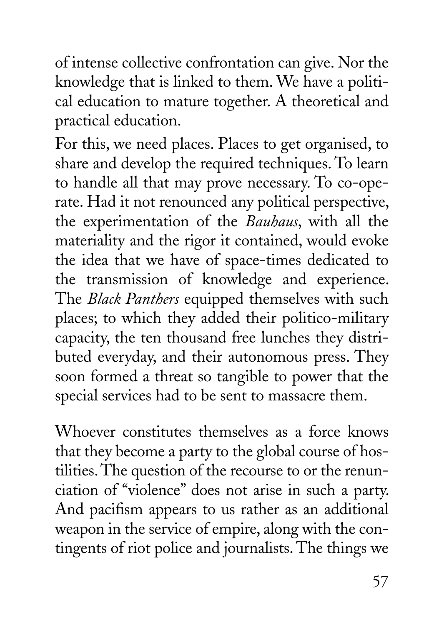of intense collective confrontation can give. Nor the knowledge that is linked to them. We have a political education to mature together. A theoretical and practical education.

For this, we need places. Places to get organised, to share and develop the required techniques. To learn to handle all that may prove necessary. To co-operate. Had it not renounced any political perspective, the experimentation of the *Bauhaus*, with all the materiality and the rigor it contained, would evoke the idea that we have of space-times dedicated to the transmission of knowledge and experience. The *Black Panthers* equipped themselves with such places; to which they added their politico-military capacity, the ten thousand free lunches they distributed everyday, and their autonomous press. They soon formed a threat so tangible to power that the special services had to be sent to massacre them.

Whoever constitutes themselves as a force knows that they become a party to the global course of hostilities. The question of the recourse to or the renunciation of "violence" does not arise in such a party. And pacifism appears to us rather as an additional weapon in the service of empire, along with the contingents of riot police and journalists. The things we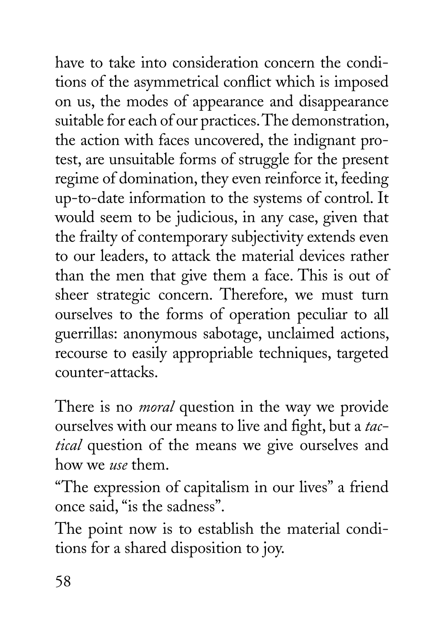have to take into consideration concern the conditions of the asymmetrical conflict which is imposed on us, the modes of appearance and disappearance suitable for each of our practices. The demonstration, the action with faces uncovered, the indignant protest, are unsuitable forms of struggle for the present regime of domination, they even reinforce it, feeding up-to-date information to the systems of control. It would seem to be judicious, in any case, given that the frailty of contemporary subjectivity extends even to our leaders, to attack the material devices rather than the men that give them a face. This is out of sheer strategic concern. Therefore, we must turn ourselves to the forms of operation peculiar to all guerrillas: anonymous sabotage, unclaimed actions, recourse to easily appropriable techniques, targeted counter-attacks.

There is no *moral* question in the way we provide ourselves with our means to live and fight, but a *tactical* question of the means we give ourselves and how we *use* them.

"The expression of capitalism in our lives" a friend once said, "is the sadness".

The point now is to establish the material conditions for a shared disposition to joy.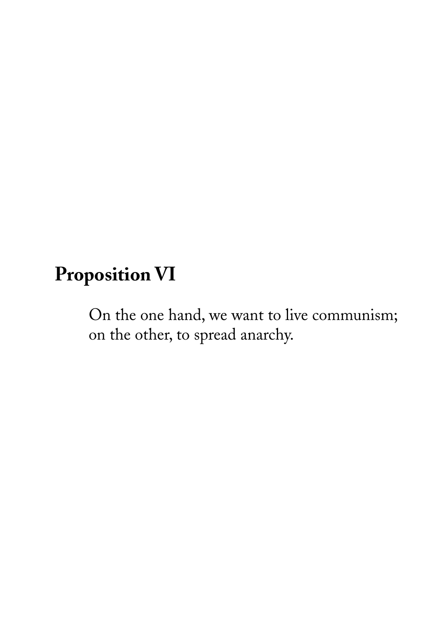#### **Proposition VI**

On the one hand, we want to live communism; on the other, to spread anarchy.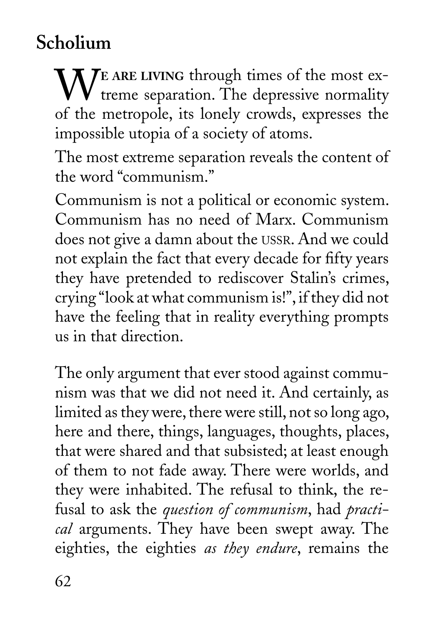# **Scholium**

WE ARE LIVING through times of the most extreme separation. The depressive normality of the metropole, its lonely crowds, expresses the impossible utopia of a society of atoms.

The most extreme separation reveals the content of the word "communism."

Communism is not a political or economic system. Communism has no need of Marx. Communism does not give a damn about the USSR. And we could not explain the fact that every decade for fifty years they have pretended to rediscover Stalin's crimes, crying "look at what communism is!", if they did not have the feeling that in reality everything prompts us in that direction.

The only argument that ever stood against communism was that we did not need it. And certainly, as limited as they were, there were still, not so long ago, here and there, things, languages, thoughts, places, that were shared and that subsisted; at least enough of them to not fade away. There were worlds, and they were inhabited. The refusal to think, the refusal to ask the *question of communism*, had *practical* arguments. They have been swept away. The eighties, the eighties *as they endure*, remains the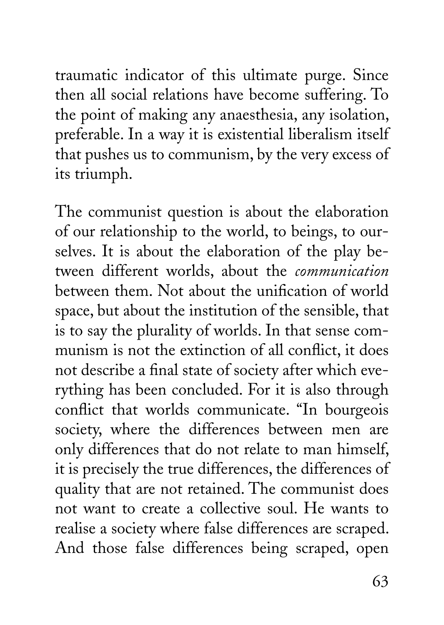traumatic indicator of this ultimate purge. Since then all social relations have become suffering. To the point of making any anaesthesia, any isolation, preferable. In a way it is existential liberalism itself that pushes us to communism, by the very excess of its triumph.

The communist question is about the elaboration of our relationship to the world, to beings, to ourselves. It is about the elaboration of the play between different worlds, about the *communication*  between them. Not about the unification of world space, but about the institution of the sensible, that is to say the plurality of worlds. In that sense communism is not the extinction of all conflict, it does not describe a final state of society after which everything has been concluded. For it is also through conflict that worlds communicate. "In bourgeois society, where the differences between men are only differences that do not relate to man himself, it is precisely the true differences, the differences of quality that are not retained. The communist does not want to create a collective soul. He wants to realise a society where false differences are scraped. And those false differences being scraped, open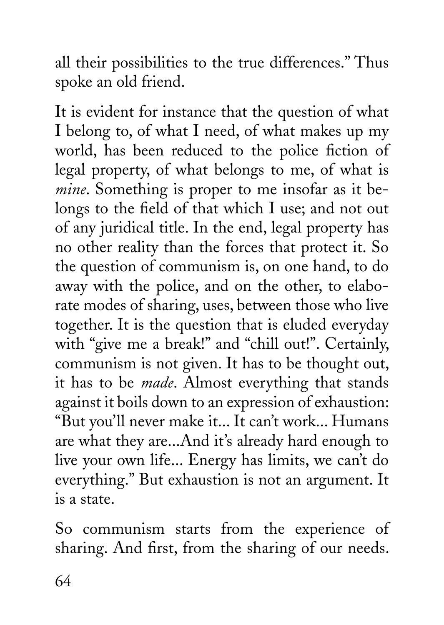all their possibilities to the true differences." Thus spoke an old friend.

It is evident for instance that the question of what I belong to, of what I need, of what makes up my world, has been reduced to the police fiction of legal property, of what belongs to me, of what is *mine*. Something is proper to me insofar as it belongs to the field of that which I use; and not out of any juridical title. In the end, legal property has no other reality than the forces that protect it. So the question of communism is, on one hand, to do away with the police, and on the other, to elaborate modes of sharing, uses, between those who live together. It is the question that is eluded everyday with "give me a break!" and "chill out!". Certainly, communism is not given. It has to be thought out, it has to be *made*. Almost everything that stands against it boils down to an expression of exhaustion: "But you'll never make it... It can't work... Humans are what they are...And it's already hard enough to live your own life... Energy has limits, we can't do everything." But exhaustion is not an argument. It is a state.

So communism starts from the experience of sharing. And first, from the sharing of our needs.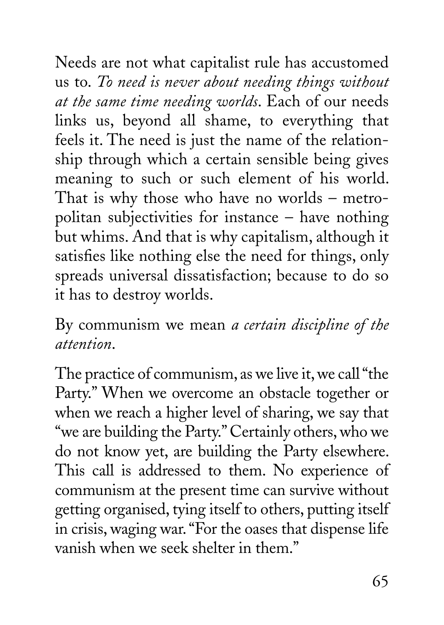Needs are not what capitalist rule has accustomed us to. *To need is never about needing things without at the same time needing worlds*. Each of our needs links us, beyond all shame, to everything that feels it. The need is just the name of the relationship through which a certain sensible being gives meaning to such or such element of his world. That is why those who have no worlds – metropolitan subjectivities for instance – have nothing but whims. And that is why capitalism, although it satisfies like nothing else the need for things, only spreads universal dissatisfaction; because to do so it has to destroy worlds.

By communism we mean *a certain discipline of the attention*.

The practice of communism, as we live it, we call "the Party." When we overcome an obstacle together or when we reach a higher level of sharing, we say that "we are building the Party." Certainly others, who we do not know yet, are building the Party elsewhere. This call is addressed to them. No experience of communism at the present time can survive without getting organised, tying itself to others, putting itself in crisis, waging war. "For the oases that dispense life vanish when we seek shelter in them."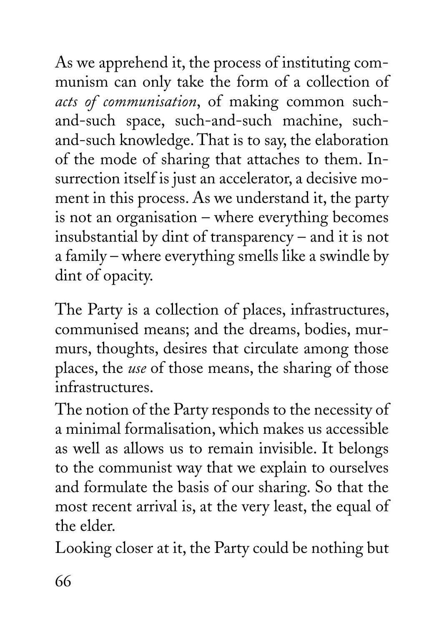As we apprehend it, the process of instituting communism can only take the form of a collection of *acts of communisation*, of making common suchand-such space, such-and-such machine, suchand-such knowledge. That is to say, the elaboration of the mode of sharing that attaches to them. Insurrection itself is just an accelerator, a decisive moment in this process. As we understand it, the party is not an organisation – where everything becomes insubstantial by dint of transparency – and it is not a family – where everything smells like a swindle by dint of opacity.

The Party is a collection of places, infrastructures, communised means; and the dreams, bodies, murmurs, thoughts, desires that circulate among those places, the *use* of those means, the sharing of those infrastructures.

The notion of the Party responds to the necessity of a minimal formalisation, which makes us accessible as well as allows us to remain invisible. It belongs to the communist way that we explain to ourselves and formulate the basis of our sharing. So that the most recent arrival is, at the very least, the equal of the elder.

Looking closer at it, the Party could be nothing but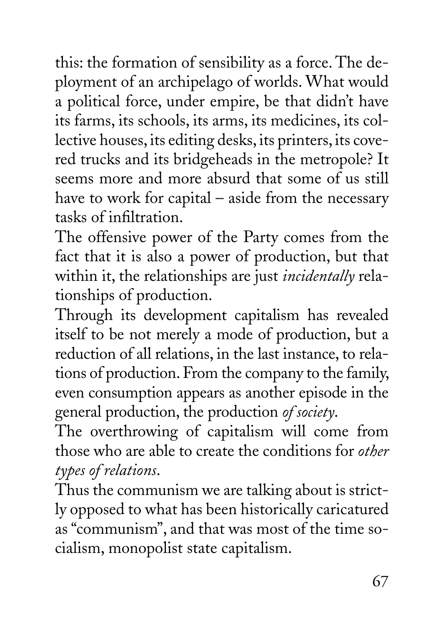this: the formation of sensibility as a force. The deployment of an archipelago of worlds. What would a political force, under empire, be that didn't have its farms, its schools, its arms, its medicines, its collective houses, its editing desks, its printers, its covered trucks and its bridgeheads in the metropole? It seems more and more absurd that some of us still have to work for capital – aside from the necessary tasks of infiltration.

The offensive power of the Party comes from the fact that it is also a power of production, but that within it, the relationships are just *incidentally* relationships of production.

Through its development capitalism has revealed itself to be not merely a mode of production, but a reduction of all relations, in the last instance, to relations of production. From the company to the family, even consumption appears as another episode in the general production, the production *of society*.

The overthrowing of capitalism will come from those who are able to create the conditions for *other types of relations*.

Thus the communism we are talking about is strictly opposed to what has been historically caricatured as "communism", and that was most of the time socialism, monopolist state capitalism.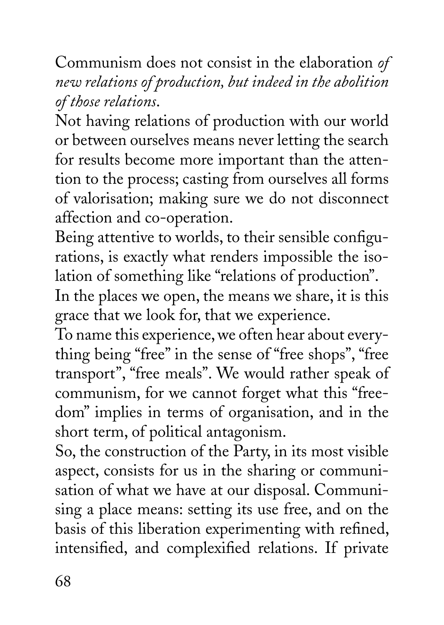Communism does not consist in the elaboration *of new relations of production, but indeed in the abolition of those relations*.

Not having relations of production with our world or between ourselves means never letting the search for results become more important than the attention to the process; casting from ourselves all forms of valorisation; making sure we do not disconnect affection and co-operation.

Being attentive to worlds, to their sensible configurations, is exactly what renders impossible the isolation of something like "relations of production".

In the places we open, the means we share, it is this grace that we look for, that we experience.

To name this experience, we often hear about everything being "free" in the sense of "free shops", "free transport", "free meals". We would rather speak of communism, for we cannot forget what this "freedom" implies in terms of organisation, and in the short term, of political antagonism.

So, the construction of the Party, in its most visible aspect, consists for us in the sharing or communisation of what we have at our disposal. Communising a place means: setting its use free, and on the basis of this liberation experimenting with refined, intensified, and complexified relations. If private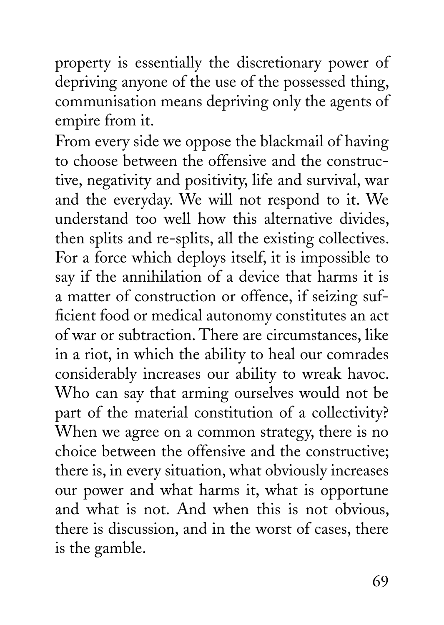property is essentially the discretionary power of depriving anyone of the use of the possessed thing, communisation means depriving only the agents of empire from it.

From every side we oppose the blackmail of having to choose between the offensive and the constructive, negativity and positivity, life and survival, war and the everyday. We will not respond to it. We understand too well how this alternative divides, then splits and re-splits, all the existing collectives. For a force which deploys itself, it is impossible to say if the annihilation of a device that harms it is a matter of construction or offence, if seizing sufficient food or medical autonomy constitutes an act of war or subtraction. There are circumstances, like in a riot, in which the ability to heal our comrades considerably increases our ability to wreak havoc. Who can say that arming ourselves would not be part of the material constitution of a collectivity? When we agree on a common strategy, there is no choice between the offensive and the constructive; there is, in every situation, what obviously increases our power and what harms it, what is opportune and what is not. And when this is not obvious, there is discussion, and in the worst of cases, there is the gamble.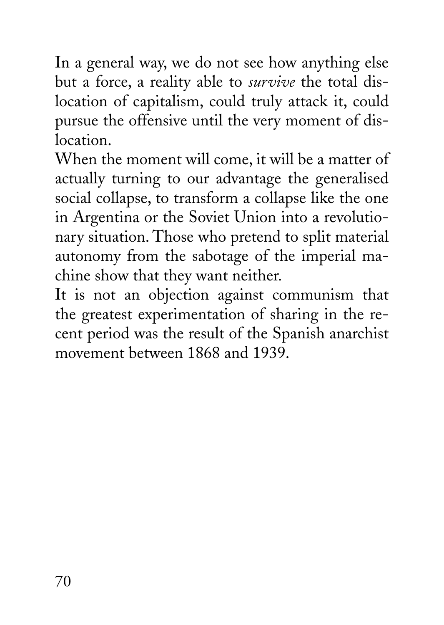In a general way, we do not see how anything else but a force, a reality able to *survive* the total dislocation of capitalism, could truly attack it, could pursue the offensive until the very moment of dislocation.

When the moment will come, it will be a matter of actually turning to our advantage the generalised social collapse, to transform a collapse like the one in Argentina or the Soviet Union into a revolutionary situation. Those who pretend to split material autonomy from the sabotage of the imperial machine show that they want neither.

It is not an objection against communism that the greatest experimentation of sharing in the recent period was the result of the Spanish anarchist movement between 1868 and 1939.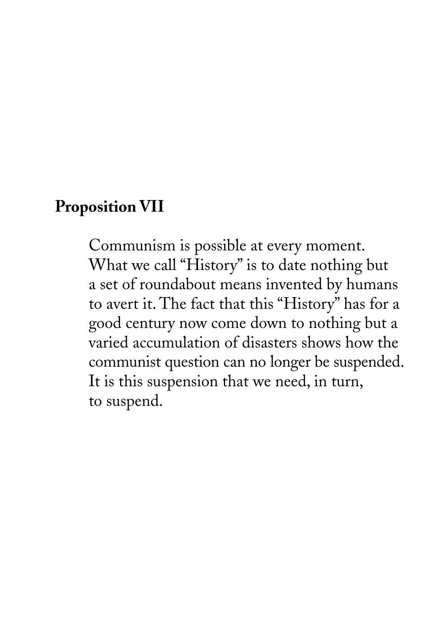## **Proposition VII**

Communism is possible at every moment. What we call "History" is to date nothing but a set of roundabout means invented by humans to avert it. The fact that this "History" has for a good century now come down to nothing but a varied accumulation of disasters shows how the communist question can no longer be suspended. It is this suspension that we need, in turn, to suspend.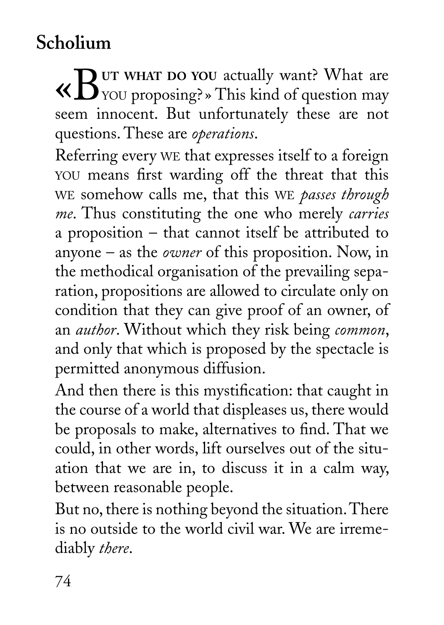## **Scholium**

«B**UT WHAT DO YOU** actually want? What are YOU proposing? » This kind of question may seem innocent. But unfortunately these are not questions. These are *operations*.

Referring every WE that expresses itself to a foreign YOU means first warding off the threat that this WE somehow calls me, that this WE *passes through me*. Thus constituting the one who merely *carries*  a proposition – that cannot itself be attributed to anyone – as the *owner* of this proposition. Now, in the methodical organisation of the prevailing separation, propositions are allowed to circulate only on condition that they can give proof of an owner, of an *author*. Without which they risk being *common*, and only that which is proposed by the spectacle is permitted anonymous diffusion.

And then there is this mystification: that caught in the course of a world that displeases us, there would be proposals to make, alternatives to find. That we could, in other words, lift ourselves out of the situation that we are in, to discuss it in a calm way, between reasonable people.

But no, there is nothing beyond the situation. There is no outside to the world civil war. We are irremediably *there*.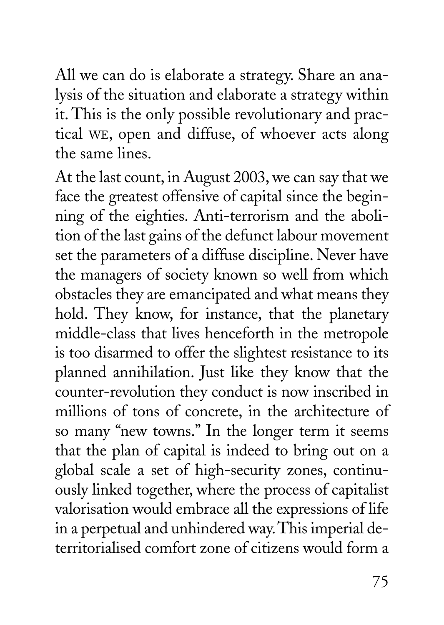All we can do is elaborate a strategy. Share an analysis of the situation and elaborate a strategy within it. This is the only possible revolutionary and practical WE, open and diffuse, of whoever acts along the same lines.

At the last count, in August 2003, we can say that we face the greatest offensive of capital since the beginning of the eighties. Anti-terrorism and the abolition of the last gains of the defunct labour movement set the parameters of a diffuse discipline. Never have the managers of society known so well from which obstacles they are emancipated and what means they hold. They know, for instance, that the planetary middle-class that lives henceforth in the metropole is too disarmed to offer the slightest resistance to its planned annihilation. Just like they know that the counter-revolution they conduct is now inscribed in millions of tons of concrete, in the architecture of so many "new towns." In the longer term it seems that the plan of capital is indeed to bring out on a global scale a set of high-security zones, continuously linked together, where the process of capitalist valorisation would embrace all the expressions of life in a perpetual and unhindered way. This imperial deterritorialised comfort zone of citizens would form a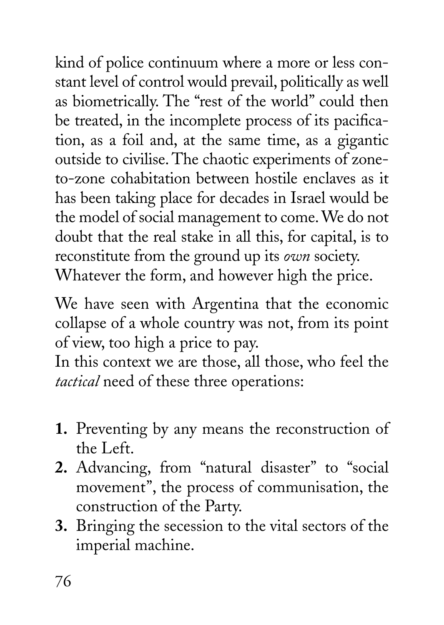kind of police continuum where a more or less constant level of control would prevail, politically as well as biometrically. The "rest of the world" could then be treated, in the incomplete process of its pacification, as a foil and, at the same time, as a gigantic outside to civilise. The chaotic experiments of zoneto-zone cohabitation between hostile enclaves as it has been taking place for decades in Israel would be the model of social management to come. We do not doubt that the real stake in all this, for capital, is to reconstitute from the ground up its *own* society. Whatever the form, and however high the price.

We have seen with Argentina that the economic collapse of a whole country was not, from its point of view, too high a price to pay.

In this context we are those, all those, who feel the *tactical* need of these three operations:

- **1.** Preventing by any means the reconstruction of the Left.
- **2.** Advancing, from "natural disaster" to "social movement", the process of communisation, the construction of the Party.
- **3.** Bringing the secession to the vital sectors of the imperial machine.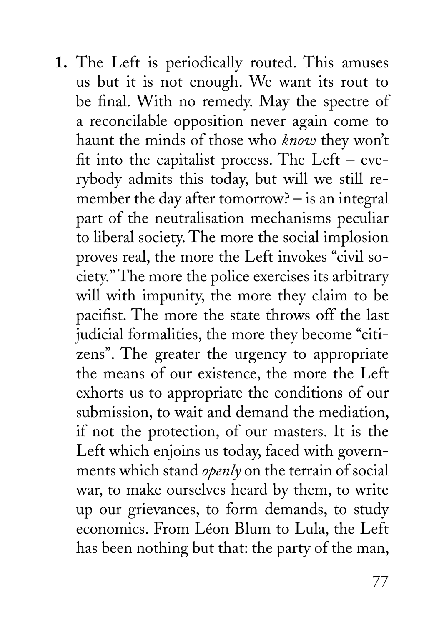**1.** The Left is periodically routed. This amuses us but it is not enough. We want its rout to be final. With no remedy. May the spectre of a reconcilable opposition never again come to haunt the minds of those who *know* they won't fit into the capitalist process. The Left – everybody admits this today, but will we still remember the day after tomorrow? – is an integral part of the neutralisation mechanisms peculiar to liberal society. The more the social implosion proves real, the more the Left invokes "civil society." The more the police exercises its arbitrary will with impunity, the more they claim to be pacifist. The more the state throws off the last judicial formalities, the more they become "citizens". The greater the urgency to appropriate the means of our existence, the more the Left exhorts us to appropriate the conditions of our submission, to wait and demand the mediation, if not the protection, of our masters. It is the Left which enjoins us today, faced with governments which stand *openly* on the terrain of social war, to make ourselves heard by them, to write up our grievances, to form demands, to study economics. From Léon Blum to Lula, the Left has been nothing but that: the party of the man,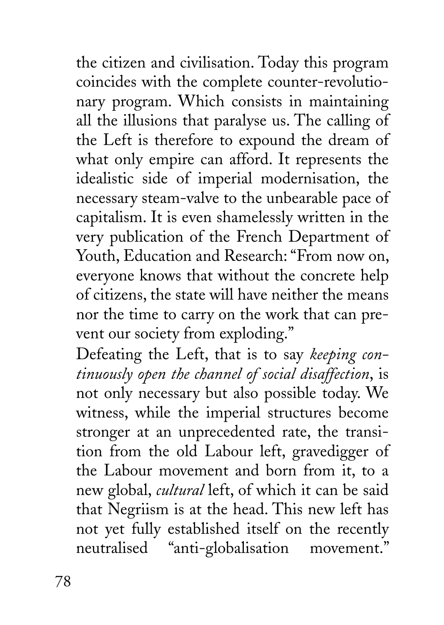the citizen and civilisation. Today this program coincides with the complete counter-revolutionary program. Which consists in maintaining all the illusions that paralyse us. The calling of the Left is therefore to expound the dream of what only empire can afford. It represents the idealistic side of imperial modernisation, the necessary steam-valve to the unbearable pace of capitalism. It is even shamelessly written in the very publication of the French Department of Youth, Education and Research: "From now on, everyone knows that without the concrete help of citizens, the state will have neither the means nor the time to carry on the work that can prevent our society from exploding."

Defeating the Left, that is to say *keeping continuously open the channel of social disaffection*, is not only necessary but also possible today. We witness, while the imperial structures become stronger at an unprecedented rate, the transition from the old Labour left, gravedigger of the Labour movement and born from it, to a new global, *cultural* left, of which it can be said that Negriism is at the head. This new left has not yet fully established itself on the recently neutralised "anti-globalisation movement."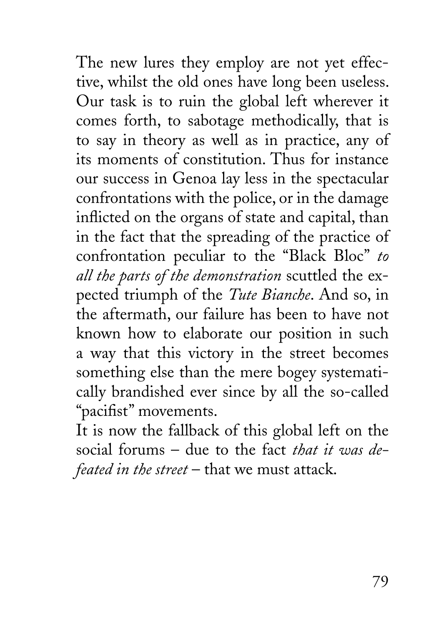The new lures they employ are not yet effective, whilst the old ones have long been useless. Our task is to ruin the global left wherever it comes forth, to sabotage methodically, that is to say in theory as well as in practice, any of its moments of constitution. Thus for instance our success in Genoa lay less in the spectacular confrontations with the police, or in the damage inflicted on the organs of state and capital, than in the fact that the spreading of the practice of confrontation peculiar to the "Black Bloc" *to all the parts of the demonstration* scuttled the expected triumph of the *Tute Bianche*. And so, in the aftermath, our failure has been to have not known how to elaborate our position in such a way that this victory in the street becomes something else than the mere bogey systematically brandished ever since by all the so-called "pacifist" movements.

It is now the fallback of this global left on the social forums – due to the fact *that it was defeated in the street* – that we must attack.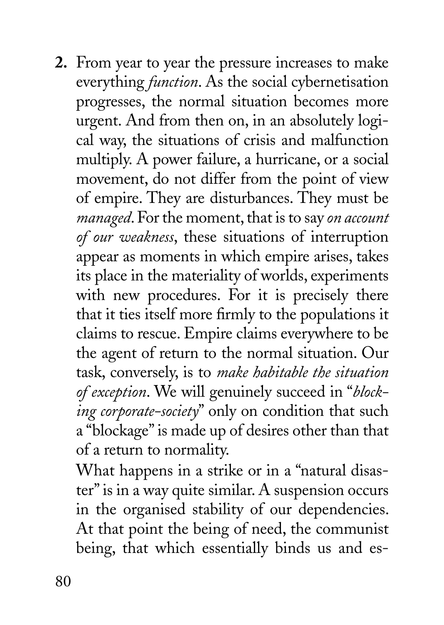**2.** From year to year the pressure increases to make everything *function*. As the social cybernetisation progresses, the normal situation becomes more urgent. And from then on, in an absolutely logical way, the situations of crisis and malfunction multiply. A power failure, a hurricane, or a social movement, do not differ from the point of view of empire. They are disturbances. They must be *managed*. For the moment, that is to say *on account of our weakness*, these situations of interruption appear as moments in which empire arises, takes its place in the materiality of worlds, experiments with new procedures. For it is precisely there that it ties itself more firmly to the populations it claims to rescue. Empire claims everywhere to be the agent of return to the normal situation. Our task, conversely, is to *make habitable the situation of exception*. We will genuinely succeed in "*blocking corporate-society*" only on condition that such a "blockage" is made up of desires other than that of a return to normality.

What happens in a strike or in a "natural disaster" is in a way quite similar. A suspension occurs in the organised stability of our dependencies. At that point the being of need, the communist being, that which essentially binds us and es-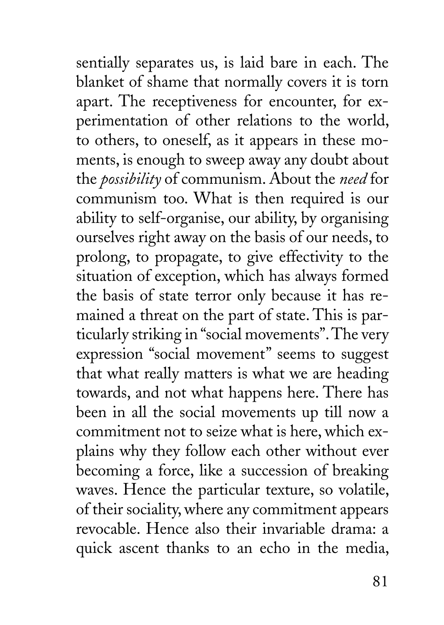sentially separates us, is laid bare in each. The blanket of shame that normally covers it is torn apart. The receptiveness for encounter, for experimentation of other relations to the world, to others, to oneself, as it appears in these moments, is enough to sweep away any doubt about the *possibility* of communism. About the *need* for communism too. What is then required is our ability to self-organise, our ability, by organising ourselves right away on the basis of our needs, to prolong, to propagate, to give effectivity to the situation of exception, which has always formed the basis of state terror only because it has remained a threat on the part of state. This is particularly striking in "social movements". The very expression "social movement" seems to suggest that what really matters is what we are heading towards, and not what happens here. There has been in all the social movements up till now a commitment not to seize what is here, which explains why they follow each other without ever becoming a force, like a succession of breaking waves. Hence the particular texture, so volatile, of their sociality, where any commitment appears revocable. Hence also their invariable drama: a quick ascent thanks to an echo in the media,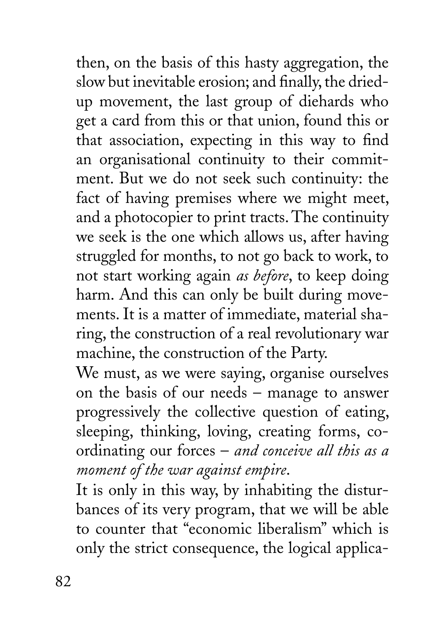then, on the basis of this hasty aggregation, the slow but inevitable erosion; and finally, the driedup movement, the last group of diehards who get a card from this or that union, found this or that association, expecting in this way to find an organisational continuity to their commitment. But we do not seek such continuity: the fact of having premises where we might meet, and a photocopier to print tracts. The continuity we seek is the one which allows us, after having struggled for months, to not go back to work, to not start working again *as before*, to keep doing harm. And this can only be built during movements. It is a matter of immediate, material sharing, the construction of a real revolutionary war machine, the construction of the Party.

We must, as we were saying, organise ourselves on the basis of our needs – manage to answer progressively the collective question of eating, sleeping, thinking, loving, creating forms, coordinating our forces – *and conceive all this as a moment of the war against empire*.

It is only in this way, by inhabiting the disturbances of its very program, that we will be able to counter that "economic liberalism" which is only the strict consequence, the logical applica-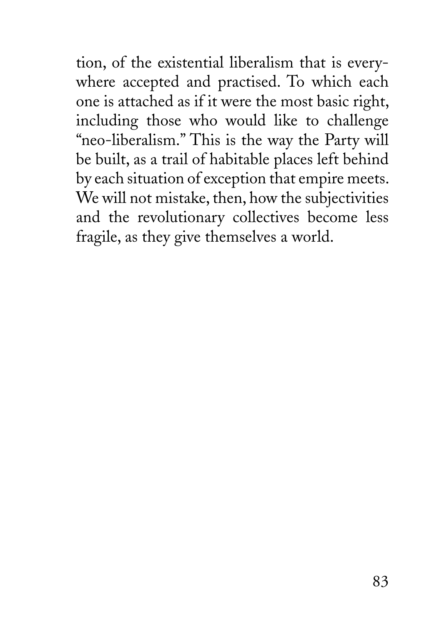tion, of the existential liberalism that is everywhere accepted and practised. To which each one is attached as if it were the most basic right, including those who would like to challenge "neo-liberalism." This is the way the Party will be built, as a trail of habitable places left behind by each situation of exception that empire meets. We will not mistake, then, how the subjectivities and the revolutionary collectives become less fragile, as they give themselves a world.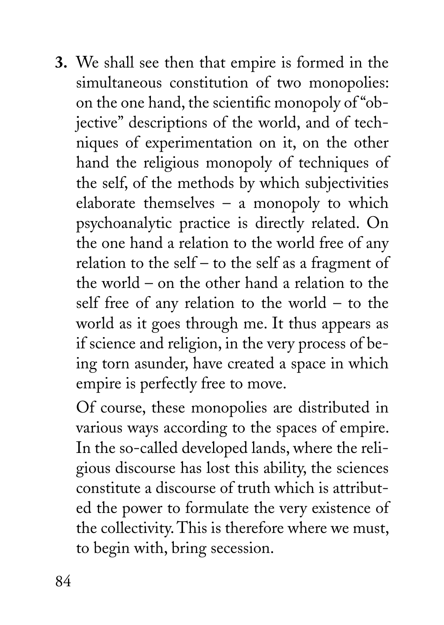**3.** We shall see then that empire is formed in the simultaneous constitution of two monopolies: on the one hand, the scientific monopoly of "objective" descriptions of the world, and of techniques of experimentation on it, on the other hand the religious monopoly of techniques of the self, of the methods by which subjectivities elaborate themselves – a monopoly to which psychoanalytic practice is directly related. On the one hand a relation to the world free of any relation to the self – to the self as a fragment of the world – on the other hand a relation to the self free of any relation to the world – to the world as it goes through me. It thus appears as if science and religion, in the very process of being torn asunder, have created a space in which empire is perfectly free to move.

Of course, these monopolies are distributed in various ways according to the spaces of empire. In the so-called developed lands, where the religious discourse has lost this ability, the sciences constitute a discourse of truth which is attributed the power to formulate the very existence of the collectivity. This is therefore where we must, to begin with, bring secession.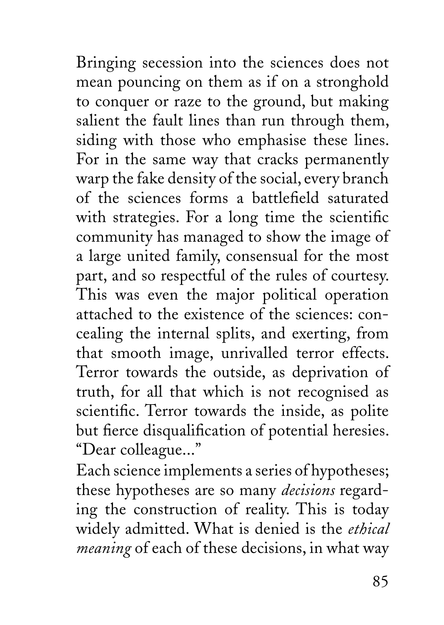Bringing secession into the sciences does not mean pouncing on them as if on a stronghold to conquer or raze to the ground, but making salient the fault lines than run through them, siding with those who emphasise these lines. For in the same way that cracks permanently warp the fake density of the social, every branch of the sciences forms a battlefield saturated with strategies. For a long time the scientific community has managed to show the image of a large united family, consensual for the most part, and so respectful of the rules of courtesy. This was even the major political operation attached to the existence of the sciences: concealing the internal splits, and exerting, from that smooth image, unrivalled terror effects. Terror towards the outside, as deprivation of truth, for all that which is not recognised as scientific. Terror towards the inside, as polite but fierce disqualification of potential heresies. "Dear colleague..."

Each science implements a series of hypotheses; these hypotheses are so many *decisions* regarding the construction of reality. This is today widely admitted. What is denied is the *ethical meaning* of each of these decisions, in what way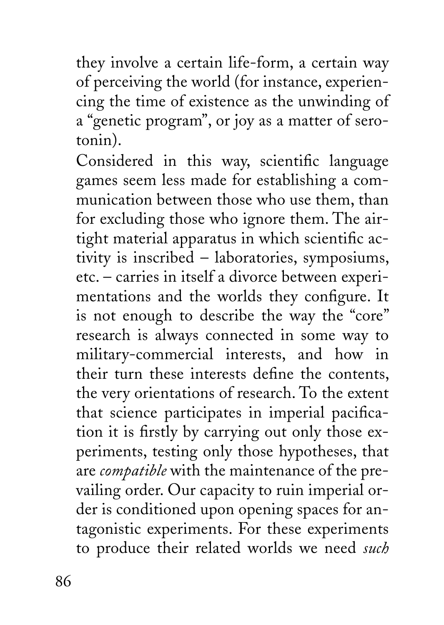they involve a certain life-form, a certain way of perceiving the world (for instance, experiencing the time of existence as the unwinding of a "genetic program", or joy as a matter of serotonin).

Considered in this way, scientific language games seem less made for establishing a communication between those who use them, than for excluding those who ignore them. The airtight material apparatus in which scientific activity is inscribed – laboratories, symposiums, etc. – carries in itself a divorce between experimentations and the worlds they configure. It is not enough to describe the way the "core" research is always connected in some way to military-commercial interests, and how in their turn these interests define the contents, the very orientations of research. To the extent that science participates in imperial pacification it is firstly by carrying out only those experiments, testing only those hypotheses, that are *compatible* with the maintenance of the prevailing order. Our capacity to ruin imperial order is conditioned upon opening spaces for antagonistic experiments. For these experiments to produce their related worlds we need *such*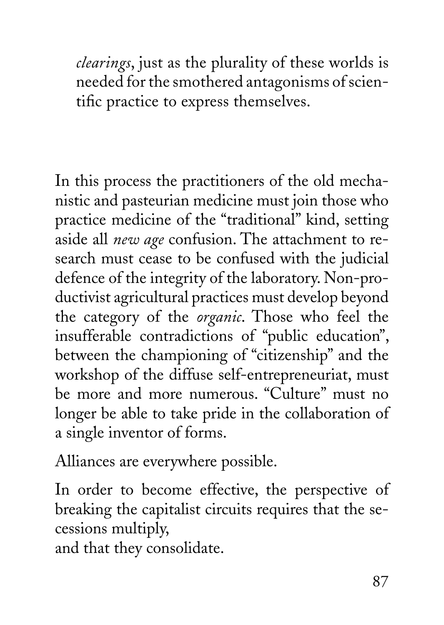*clearings*, just as the plurality of these worlds is needed for the smothered antagonisms of scientific practice to express themselves.

In this process the practitioners of the old mechanistic and pasteurian medicine must join those who practice medicine of the "traditional" kind, setting aside all *new age* confusion. The attachment to research must cease to be confused with the judicial defence of the integrity of the laboratory. Non-productivist agricultural practices must develop beyond the category of the *organic*. Those who feel the insufferable contradictions of "public education", between the championing of "citizenship" and the workshop of the diffuse self-entrepreneuriat, must be more and more numerous. "Culture" must no longer be able to take pride in the collaboration of a single inventor of forms.

Alliances are everywhere possible.

In order to become effective, the perspective of breaking the capitalist circuits requires that the secessions multiply,

and that they consolidate.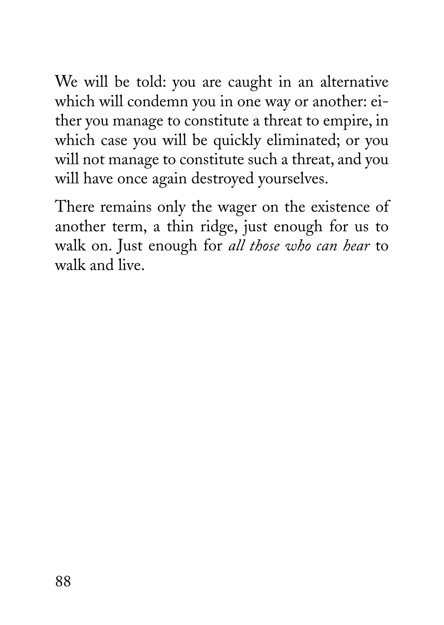We will be told: you are caught in an alternative which will condemn you in one way or another: either you manage to constitute a threat to empire, in which case you will be quickly eliminated; or you will not manage to constitute such a threat, and you will have once again destroyed yourselves.

There remains only the wager on the existence of another term, a thin ridge, just enough for us to walk on. Just enough for *all those who can hear* to walk and live.